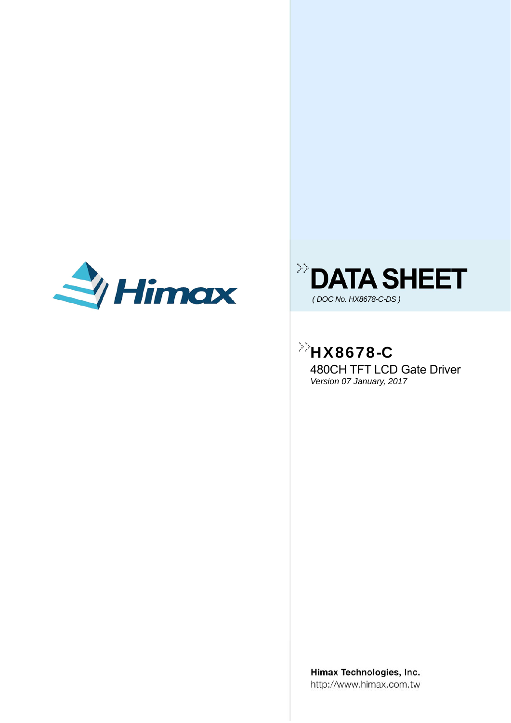



### $^{\circ}$ HX8678-C 480CH TFT LCD Gate Driver

*Version 07 January, 2017* 

Himax Technologies, Inc. http://www.himax.com.tw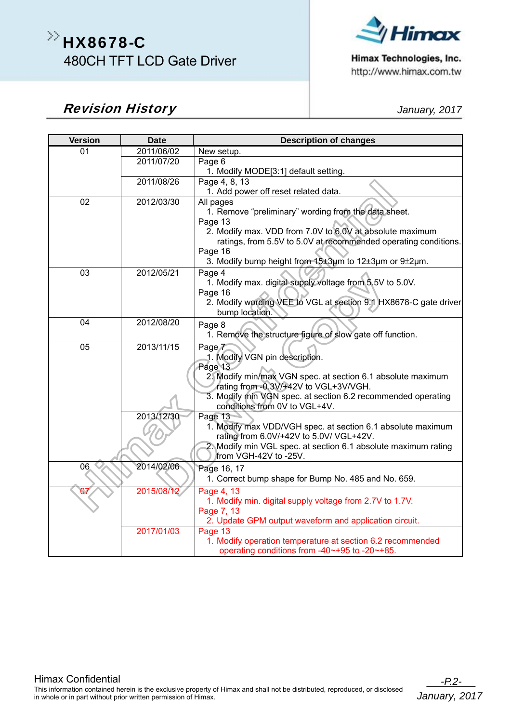# $\gg$ HX8678-C 480CH TFT LCD Gate Driver



Himax Technologies, Inc. http://www.himax.com.tw

#### **Revision History** *Algebraic Contract Contract Algebraic Contract Algebraic January, 2017*

| <b>Version</b> | <b>Date</b> | <b>Description of changes</b>                                                                 |
|----------------|-------------|-----------------------------------------------------------------------------------------------|
| 01             | 2011/06/02  | New setup.                                                                                    |
|                | 2011/07/20  | Page 6                                                                                        |
|                |             | 1. Modify MODE[3:1] default setting.                                                          |
|                | 2011/08/26  | Page 4, 8, 13                                                                                 |
| 02             | 2012/03/30  | 1. Add power off reset related data.<br>All pages                                             |
|                |             | 1. Remove "preliminary" wording from the data sheet.                                          |
|                |             | Page 13                                                                                       |
|                |             | 2. Modify max. VDD from 7.0V to 6.0V at absolute maximum                                      |
|                |             | ratings, from 5.5V to 5.0V at recommended operating conditions.                               |
|                |             | Page 16                                                                                       |
|                |             | 3. Modify bump height from 15±3um to 12±3um or 9±2um.                                         |
| 03             | 2012/05/21  | Page 4                                                                                        |
|                |             | 1. Modify max. digital supply voltage from 5.5V to 5.0V.                                      |
|                |             | Page 16<br>2. Modify wording VEE to VGL at section 9.1 HX8678-C gate driver                   |
|                |             | bump location.                                                                                |
| 04             | 2012/08/20  | Page 8                                                                                        |
|                |             | 1. Remove the structure figure of slow gate off function.                                     |
| 05             | 2013/11/15  | Page 7                                                                                        |
|                |             | 1. Modify VGN pin description.                                                                |
|                |             | Page 13                                                                                       |
|                |             | 2. Modify min/max VGN spec. at section 6.1 absolute maximum                                   |
|                |             | rating from -0.3V/+42V to VGL+3V/VGH.                                                         |
|                |             | 3. Modify min VGN spec. at section 6.2 recommended operating<br>conditions from 0V to VGL+4V. |
|                | 2013/12/30  | Page 13                                                                                       |
|                |             | 1. Modify max VDD/VGH spec. at section 6.1 absolute maximum                                   |
|                |             | rating from 6.0V/+42V to 5.0V/ VGL+42V.                                                       |
|                |             | 2. Modify min VGL spec. at section 6.1 absolute maximum rating                                |
|                |             | from VGH-42V to -25V.                                                                         |
| 06             | 2014/02/06  | Page 16, 17                                                                                   |
|                |             | 1. Correct bump shape for Bump No. 485 and No. 659.                                           |
| 07             | 2015/08/12  | Page 4, 13                                                                                    |
|                |             | 1. Modify min. digital supply voltage from 2.7V to 1.7V.<br>Page 7, 13                        |
|                |             | 2. Update GPM output waveform and application circuit.                                        |
|                | 2017/01/03  | Page 13                                                                                       |
|                |             | 1. Modify operation temperature at section 6.2 recommended                                    |
|                |             | operating conditions from -40~+95 to -20~+85.                                                 |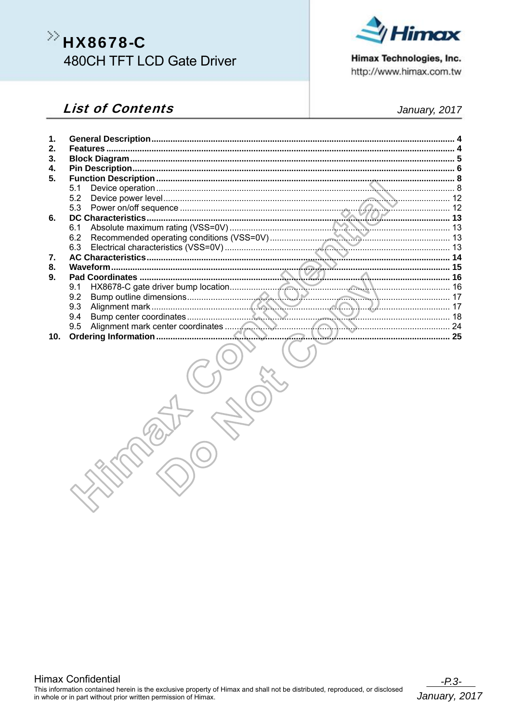# >> HX8678-C **480CH TFT LCD Gate Driver**

#### **List of Contents**

 $\mathbf{1}$ .

 $2.$ 

 $3.$ 



Himax Technologies, Inc. http://www.himax.com.tw

| $\mathbf{4}$ |     |  |
|--------------|-----|--|
| 5.           |     |  |
|              | 5.1 |  |
|              | 5.2 |  |
|              |     |  |
| 6.           |     |  |
|              |     |  |
|              |     |  |
|              |     |  |
| 7.           |     |  |
| 8.           |     |  |
| 9.           |     |  |
|              |     |  |
|              |     |  |
|              |     |  |
|              |     |  |
|              |     |  |
| 10.          |     |  |
|              |     |  |



#### January, 2017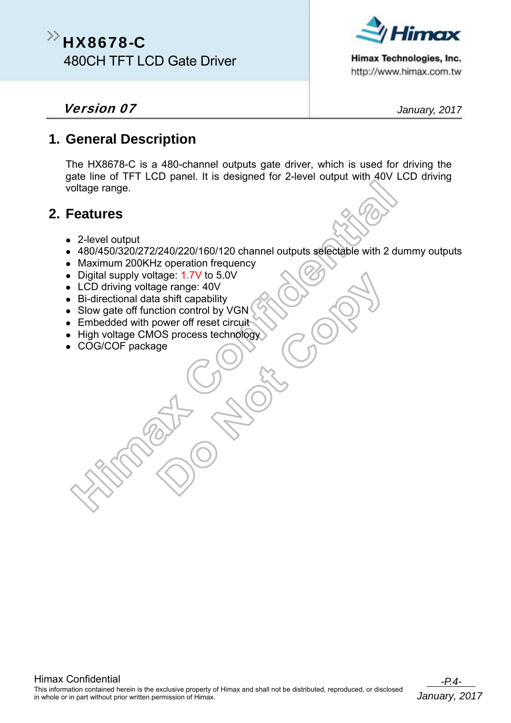### $\gg$ HX8678-C 480CH TFT LCD Gate Driver



Himax Technologies, Inc. http://www.himax.com.tw

#### **Version 07** *January, 2017*

#### **1. General Description**

The HX8678-C is a 480-channel outputs gate driver, which is used for driving the gate line of TFT LCD panel. It is designed for 2-level output with 40V LCD driving voltage range.

#### **2. Features**

- 2-level output
- 480/450/320/272/240/220/160/120 channel outputs selectable with 2 dummy outputs
- Maximum 200KHz operation frequency
- Digital supply voltage: 1.7V to 5.0V
- LCD driving voltage range: 40V
- Bi-directional data shift capability
- Slow gate off function control by VGN
- Embedded with power off reset circuit
- High voltage CMOS process technology
- COG/COF package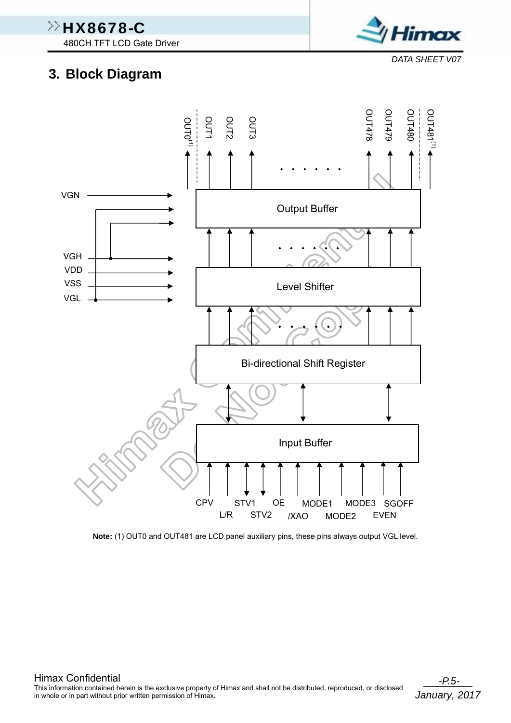480CH TFT LCD Gate Driver

imax

*DATA SHEET V07*

### **3. Block Diagram**

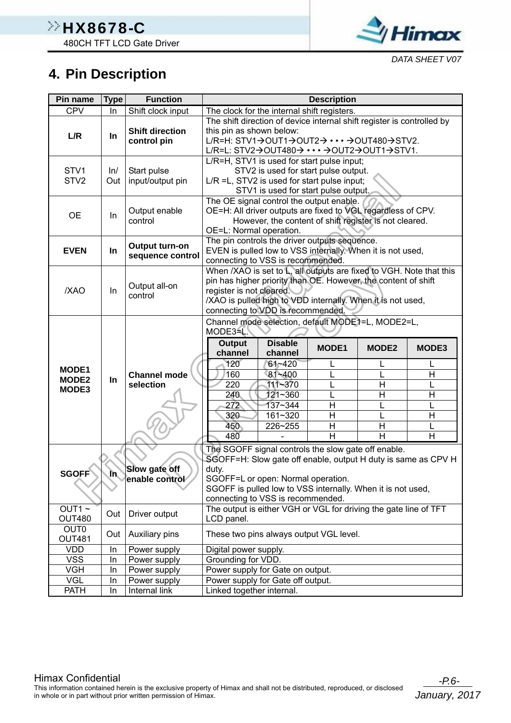

### **4. Pin Description**

| Pin name                                         | <b>Type</b> | <b>Function</b>                       |                                                                                                                                                                                                                                                                         |                                                                              | <b>Description</b>                          |                                                        |                  |  |  |
|--------------------------------------------------|-------------|---------------------------------------|-------------------------------------------------------------------------------------------------------------------------------------------------------------------------------------------------------------------------------------------------------------------------|------------------------------------------------------------------------------|---------------------------------------------|--------------------------------------------------------|------------------|--|--|
| <b>CPV</b>                                       | In          | Shift clock input                     | The clock for the internal shift registers.                                                                                                                                                                                                                             |                                                                              |                                             |                                                        |                  |  |  |
| L/R                                              | $\ln$       | <b>Shift direction</b><br>control pin | The shift direction of device internal shift register is controlled by<br>this pin as shown below:<br>L/R=H: STV1→OUT1→OUT2→ ··· →OUT480→STV2.<br>L/R=L: STV2→OUT480→ ••• →OUT2→OUT1→STV1.                                                                              |                                                                              |                                             |                                                        |                  |  |  |
| STV <sub>1</sub><br>STV <sub>2</sub>             | ln/<br>Out  | Start pulse<br>input/output pin       | L/R=H, STV1 is used for start pulse input;<br>L/R = L, STV2 is used for start pulse input;                                                                                                                                                                              | STV2 is used for start pulse output.<br>STV1 is used for start pulse output. |                                             |                                                        |                  |  |  |
| <b>OE</b>                                        | In          | Output enable<br>control              | The OE signal control the output enable.<br>OE=H: All driver outputs are fixed to VGL regardless of CPV.<br>OE=L: Normal operation.                                                                                                                                     |                                                                              |                                             | However, the content of shift register is not cleared. |                  |  |  |
| <b>EVEN</b>                                      | In          | Output turn-on<br>sequence control    | The pin controls the driver outputs sequence.<br>EVEN is pulled low to VSS internally. When it is not used,<br>connecting to VSS is recommended.                                                                                                                        |                                                                              |                                             |                                                        |                  |  |  |
| /XAO                                             | In          | Output all-on<br>control              | When /XAO is set to L, all outputs are fixed to VGH. Note that this<br>pin has higher priority than OE. However, the content of shift<br>register is not cleared.<br>/XAO is pulled high to VDD internally. When it is not used,<br>connecting to VDD is recommended.   |                                                                              |                                             |                                                        |                  |  |  |
|                                                  |             |                                       | Channel mode selection, default MODE1=L, MODE2=L,<br>MODE3 <sup>4</sup> L<br><b>Output</b><br>channel                                                                                                                                                                   | <b>Disable</b><br>channel                                                    | <b>MODE1</b>                                | <b>MODE2</b>                                           | MODE3            |  |  |
| <b>MODE1</b><br>MODE <sub>2</sub><br>MODE3       | In          | <b>Channel mode</b><br>selection      | 120<br>160<br>220<br>240<br>272<br>320<br>450<br>480                                                                                                                                                                                                                    | $61 - 420$<br>81~400<br>111~370<br>121~360<br>137~344<br>161~320<br>226~255  | L<br>Η<br>$\mathsf{H}$<br>$\mathsf{H}$<br>H | L<br>L<br>Η<br>Η<br>L<br>L<br>Η<br>H                   | H<br>H<br>H<br>H |  |  |
| <b>SGOFF</b>                                     | m.          | Slow gate off<br>enable control       | The SGOFF signal controls the slow gate off enable.<br>SGOFF=H: Slow gate off enable, output H duty is same as CPV H<br>duty.<br>SGOFF=L or open: Normal operation.<br>SGOFF is pulled low to VSS internally. When it is not used,<br>connecting to VSS is recommended. |                                                                              |                                             |                                                        |                  |  |  |
| $OUT1~\sim$<br><b>OUT480</b><br>OUT <sub>0</sub> | Out         | Driver output                         | The output is either VGH or VGL for driving the gate line of TFT<br>LCD panel.                                                                                                                                                                                          |                                                                              |                                             |                                                        |                  |  |  |
| <b>OUT481</b>                                    | Out         | Auxiliary pins                        | These two pins always output VGL level.                                                                                                                                                                                                                                 |                                                                              |                                             |                                                        |                  |  |  |
| <b>VDD</b>                                       | In          | Power supply                          | Digital power supply.                                                                                                                                                                                                                                                   |                                                                              |                                             |                                                        |                  |  |  |
| <b>VSS</b>                                       | In          | Power supply                          | Grounding for VDD.                                                                                                                                                                                                                                                      |                                                                              |                                             |                                                        |                  |  |  |
| <b>VGH</b>                                       | In          | Power supply                          | Power supply for Gate on output.                                                                                                                                                                                                                                        |                                                                              |                                             |                                                        |                  |  |  |
| <b>VGL</b>                                       | In          | Power supply                          | Power supply for Gate off output.                                                                                                                                                                                                                                       |                                                                              |                                             |                                                        |                  |  |  |
| <b>PATH</b>                                      | In          | <b>Internal link</b>                  | Linked together internal.                                                                                                                                                                                                                                               |                                                                              |                                             |                                                        |                  |  |  |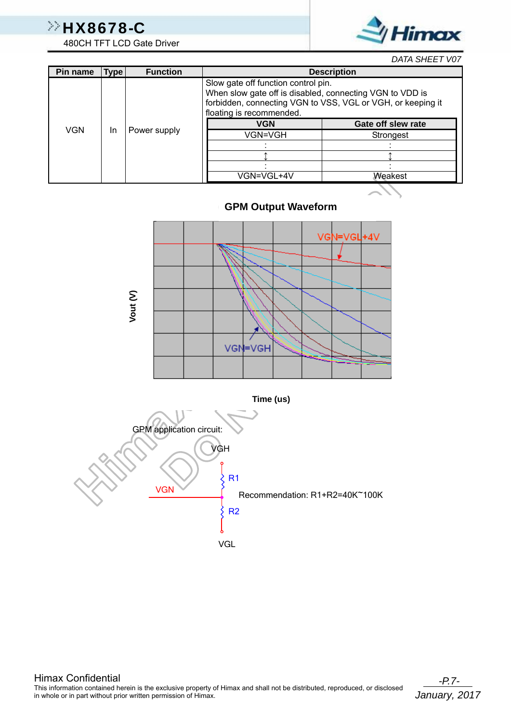

*DATA SHEET V07*

| Pin name   | <b>Type</b> | <b>Function</b> |                                                                                                                                                                                            | <b>Description</b> |                    |  |            |         |
|------------|-------------|-----------------|--------------------------------------------------------------------------------------------------------------------------------------------------------------------------------------------|--------------------|--------------------|--|------------|---------|
|            |             | Power supply    | Slow gate off function control pin.<br>When slow gate off is disabled, connecting VGN to VDD is<br>forbidden, connecting VGN to VSS, VGL or VGH, or keeping it<br>floating is recommended. |                    |                    |  |            |         |
| <b>VGN</b> |             |                 |                                                                                                                                                                                            | <b>VGN</b>         | Gate off slew rate |  |            |         |
|            | <b>In</b>   |                 | VGN=VGH                                                                                                                                                                                    | Strongest          |                    |  |            |         |
|            |             |                 |                                                                                                                                                                                            |                    |                    |  |            |         |
|            |             |                 |                                                                                                                                                                                            |                    |                    |  |            |         |
|            |             |                 |                                                                                                                                                                                            |                    |                    |  |            |         |
|            |             |                 |                                                                                                                                                                                            |                    |                    |  | VGN=VGL+4V | Weakest |
|            |             |                 |                                                                                                                                                                                            |                    |                    |  |            |         |

#### **GPM Output Waveform**





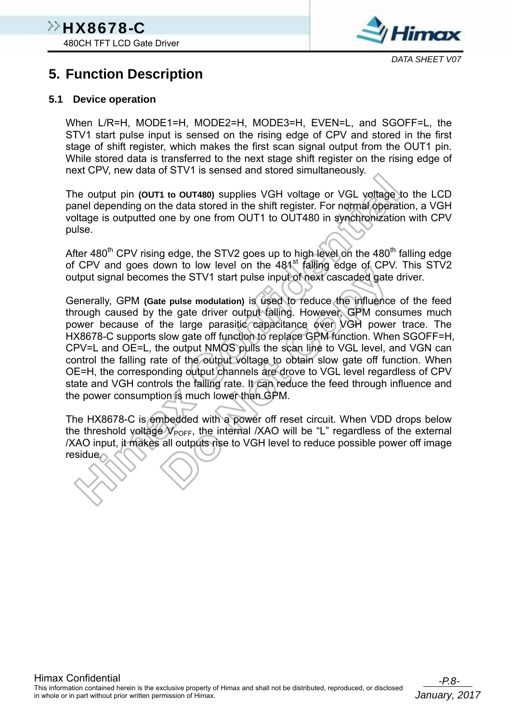

### **5. Function Description**

#### **5.1 Device operation**

When L/R=H, MODE1=H, MODE2=H, MODE3=H, EVEN=L, and SGOFF=L, the STV1 start pulse input is sensed on the rising edge of CPV and stored in the first stage of shift register, which makes the first scan signal output from the OUT1 pin. While stored data is transferred to the next stage shift register on the rising edge of next CPV, new data of STV1 is sensed and stored simultaneously.

The output pin **(OUT1 to OUT480)** supplies VGH voltage or VGL voltage to the LCD panel depending on the data stored in the shift register. For normal operation, a VGH voltage is outputted one by one from OUT1 to OUT480 in synchronization with CPV pulse.

After 480<sup>th</sup> CPV rising edge, the STV2 goes up to high level on the 480<sup>th</sup> falling edge of CPV and goes down to low level on the 481<sup>st</sup> falling edge of CPV. This STV2 output signal becomes the STV1 start pulse input of next cascaded gate driver.

Generally, GPM **(Gate pulse modulation)** is used to reduce the influence of the feed through caused by the gate driver output falling. However, GPM consumes much power because of the large parasitic capacitance over VGH power trace. The HX8678-C supports slow gate off function to replace GPM function. When SGOFF=H, CPV=L and OE=L, the output NMOS pulls the scan line to VGL level, and VGN can control the falling rate of the output voltage to obtain slow gate off function. When OE=H, the corresponding output channels are drove to VGL level regardless of CPV state and VGH controls the falling rate. It can reduce the feed through influence and the power consumption is much lower than GPM.

The HX8678-C is embedded with a power off reset circuit. When VDD drops below the threshold voltage  $V_{\text{POFF}}$ , the internal /XAO will be "L" regardless of the external /XAO input, it makes all outputs rise to VGH level to reduce possible power off image residue.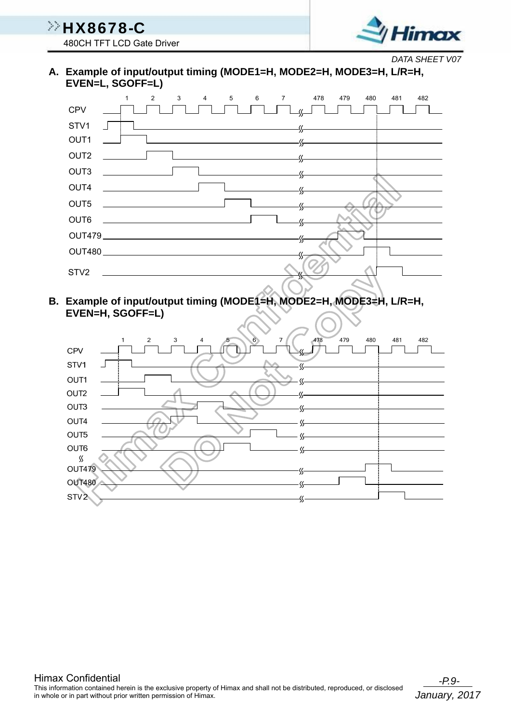

*DATA SHEET V07*

**A. Example of input/output timing (MODE1=H, MODE2=H, MODE3=H, L/R=H, EVEN=L, SGOFF=L)** 



**B. Example of input/output timing (MODE1=H, MODE2=H, MODE3=H, L/R=H, EVEN=H, SGOFF=L)** 

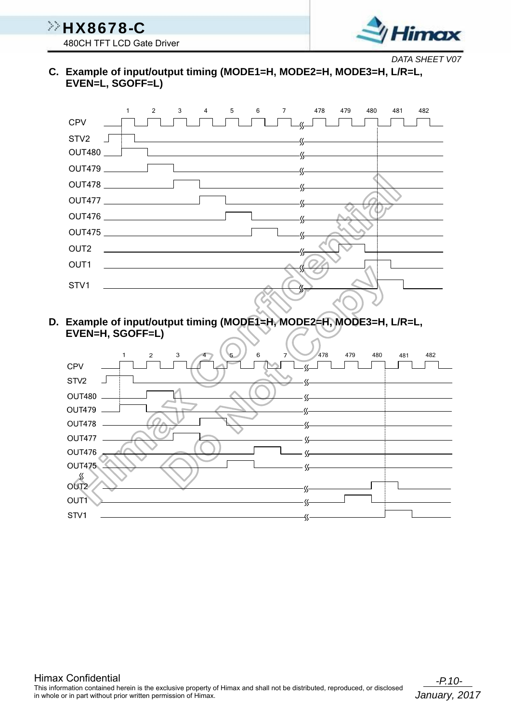**HX8678-C** 480CH TFT LCD Gate Driver



*DATA SHEET V07*

**C. Example of input/output timing (MODE1=H, MODE2=H, MODE3=H, L/R=L, EVEN=L, SGOFF=L)** 



**D. Example of input/output timing (MODE1=H, MODE2=H, MODE3=H, L/R=L, EVEN=H, SGOFF=L)** 

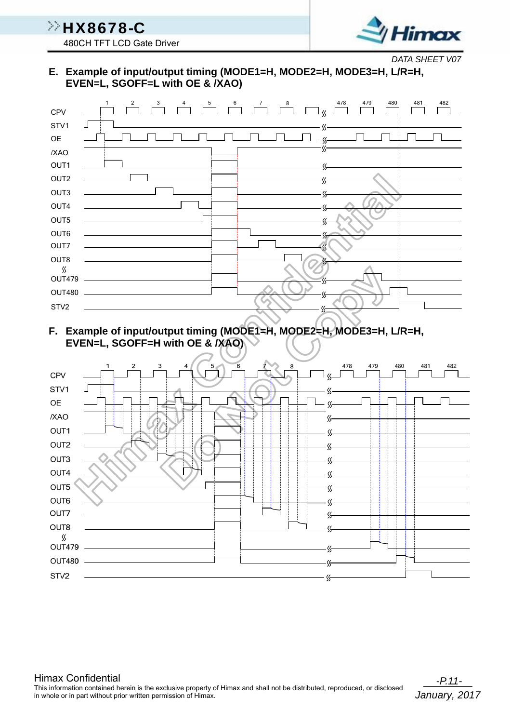

*DATA SHEET V07*

**E. Example of input/output timing (MODE1=H, MODE2=H, MODE3=H, L/R=H, EVEN=L, SGOFF=L with OE & /XAO)** 



**F. Example of input/output timing (MODE1=H, MODE2=H, MODE3=H, L/R=H, EVEN=L, SGOFF=H with OE & /XAO)** 

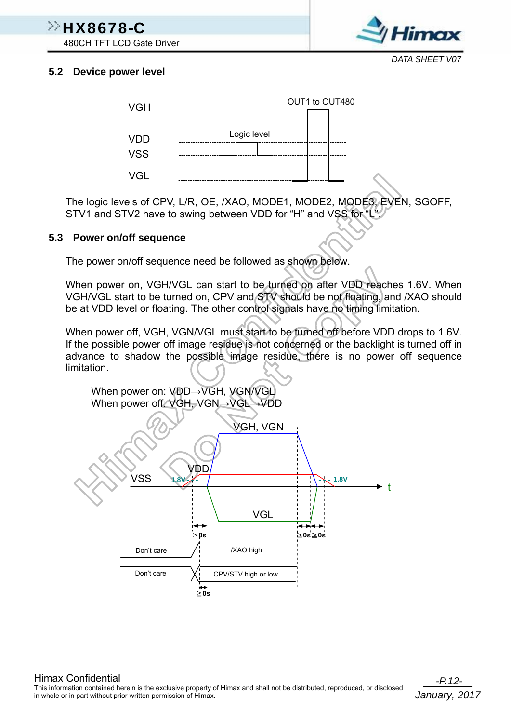## $\gg$ HX8678-C

480CH TFT LCD Gate Driver



#### **5.2 Device power level**



The logic levels of CPV, L/R, OE, /XAO, MODE1, MODE2, MODE3, EVEN, SGOFF, STV1 and STV2 have to swing between VDD for "H" and VSS for "L

#### **5.3 Power on/off sequence**

The power on/off sequence need be followed as shown below.

When power on, VGH/VGL can start to be turned on after VDD reaches 1.6V. When VGH/VGL start to be turned on, CPV and STV should be not floating, and /XAO should be at VDD level or floating. The other control signals have no timing limitation.

When power off, VGH, VGN/VGL must start to be turned off before VDD drops to 1.6V. If the possible power off image residue is not concerned or the backlight is turned off in advance to shadow the possible image residue, there is no power off sequence limitation.

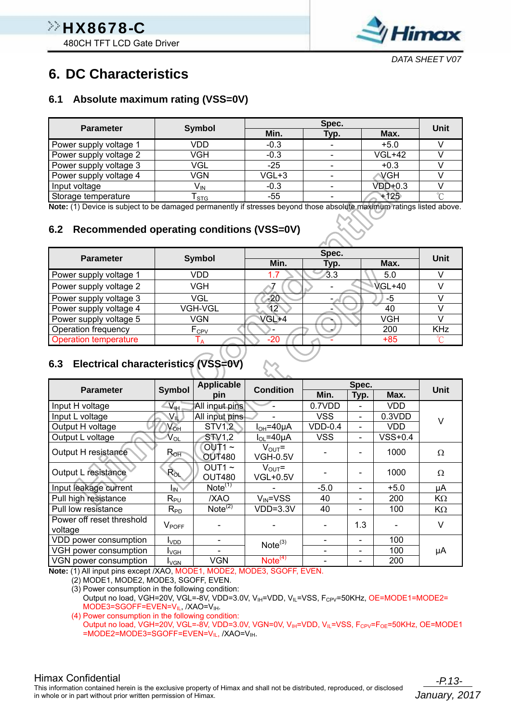

### **6. DC Characteristics**

#### **6.1 Absolute maximum rating (VSS=0V)**

| <b>Parameter</b>       | <b>Symbol</b>   |        | Spec. |               | Unit   |  |
|------------------------|-----------------|--------|-------|---------------|--------|--|
|                        |                 | Min.   | Typ.  | Max.          |        |  |
| Power supply voltage 1 | VDD             | $-0.3$ |       | $+5.0$        |        |  |
| Power supply voltage 2 | <b>VGH</b>      | $-0.3$ |       | <b>VGL+42</b> |        |  |
| Power supply voltage 3 | VGL             | $-25$  |       | $+0.3$        |        |  |
| Power supply voltage 4 | <b>VGN</b>      | VGL+3  |       | VGH           |        |  |
| Input voltage          | V <sub>IN</sub> | $-0.3$ |       | $VDD+0.3$     |        |  |
| Storage temperature    | l STG           | $-55$  |       | $+125$        | $\sim$ |  |

**Note:** (1) Device is subject to be damaged permanently if stresses beyond those absolute maximum ratings listed above.

#### **6.2 Recommended operating conditions (VSS=0V)**

| <b>Parameter</b>             | Symbol           |       | Spec. |               | Unit       |  |
|------------------------------|------------------|-------|-------|---------------|------------|--|
|                              |                  | Min.  | Typ.  | Max.          |            |  |
| Power supply voltage 1       | VDD              |       | /3.3  | 5.0           |            |  |
| Power supply voltage 2       | VGH              |       |       | <b>VGL+40</b> |            |  |
| Power supply voltage 3       | VGL              | -20   |       | -5            |            |  |
| Power supply voltage 4       | VGH-VGL          | 12    |       | 40            |            |  |
| Power supply voltage 5       | VGN              | VGL+4 |       | VGH           |            |  |
| Operation frequency          | F <sub>CPV</sub> |       |       | 200           | <b>KHz</b> |  |
| <b>Operation temperature</b> |                  | -20   |       | $+85$         |            |  |

### **6.3 Electrical characteristics (VSS=0V)**

| <b>Parameter</b>          | Symbol                                  | <b>Applicable</b>                | <b>Condition</b>                      |            | Spec.                        |            | <b>Unit</b> |
|---------------------------|-----------------------------------------|----------------------------------|---------------------------------------|------------|------------------------------|------------|-------------|
|                           |                                         | pin                              |                                       | Min.       | Typ.                         | Max.       |             |
| Input H voltage           | $\overline{\Delta}_{\text{H}_\text{F}}$ | All input pins                   |                                       | 0.7VDD     |                              | <b>VDD</b> |             |
| Input L voltage<br>VIL.   |                                         | All input pins                   |                                       | <b>VSS</b> |                              | 0.3VDD     | $\vee$      |
| Output H voltage          | $N_{\text{OH}}$                         | STV1,2                           | $IOH=40µA$                            | $VDD-0.4$  |                              | <b>VDD</b> |             |
| Output L voltage          | V <sub>OL</sub>                         | <b>STV1,2</b>                    | $I_{OL} = 40 \mu A$                   | <b>VSS</b> | $\overline{\phantom{0}}$     | $VSS+0.4$  |             |
| Output H resistance       | $R_{OH}$                                | $OUT1~\sim$<br><b>OUT480</b>     | $V_{\text{OUT}}$ =<br><b>VGH-0.5V</b> |            |                              | 1000       | Ω           |
| Output L resistance       | $R_{OL}$                                | OUT1 $\sim$<br><b>OUT480</b>     | $V_{\text{OUT}}$ =<br><b>VGL+0.5V</b> |            |                              | 1000       | Ω           |
| Input leakage current     | $I_{\mathsf{IN}}$                       | Note $(1)$                       |                                       | $-5.0$     |                              | $+5.0$     | μA          |
| Pull high resistance      | $R_{PU}$                                | /XAO                             | $V_{IN} = VSS$                        | 40         |                              | 200        | KΩ          |
| Pull low resistance       | $R_{PD}$                                | Note <sup><math>(2)</math></sup> | $VDD=3.3V$                            | 40         |                              | 100        | $K\Omega$   |
| Power off reset threshold | $V_{POFF}$                              |                                  |                                       |            | 1.3                          |            | V           |
| voltage                   |                                         |                                  |                                       |            |                              |            |             |
| VDD power consumption     | I <sub>VDD</sub>                        |                                  | Note <sup>(3)</sup>                   |            | $\overline{\phantom{0}}$     | 100        |             |
| VGH power consumption     | <b>I</b> vgh                            |                                  |                                       |            | $\qquad \qquad \blacksquare$ | 100        | μA          |
| VGN power consumption     | I∨GN                                    | <b>VGN</b>                       | Note <sup>(4)</sup>                   |            |                              | 200        |             |

**Note:** (1) All input pins except /XAO, MODE1, MODE2, MODE3, SGOFF, EVEN.

(2) MODE1, MODE2, MODE3, SGOFF, EVEN.

(3) Power consumption in the following condition:

Output no load, VGH=20V, VGL=-8V, VDD=3.0V, V<sub>IH</sub>=VDD, V<sub>IL</sub>=VSS, F<sub>CPV</sub>=50KHz, OE=MODE1=MODE2= MODE3=SGOFF=EVEN=V<sub>II</sub>, /XAO=V<sub>IH</sub>.

(4) Power consumption in the following condition:

Output no load, VGH=20V, VGL=-8V, VDD=3.0V, VGN=0V, V<sub>IH</sub>=VDD, V<sub>IL</sub>=VSS, F<sub>CPV</sub>=F<sub>OE</sub>=50KHz, OE=MODE1 =MODE2=MODE3=SGOFF=EVEN=VIL, /XAO=VIH.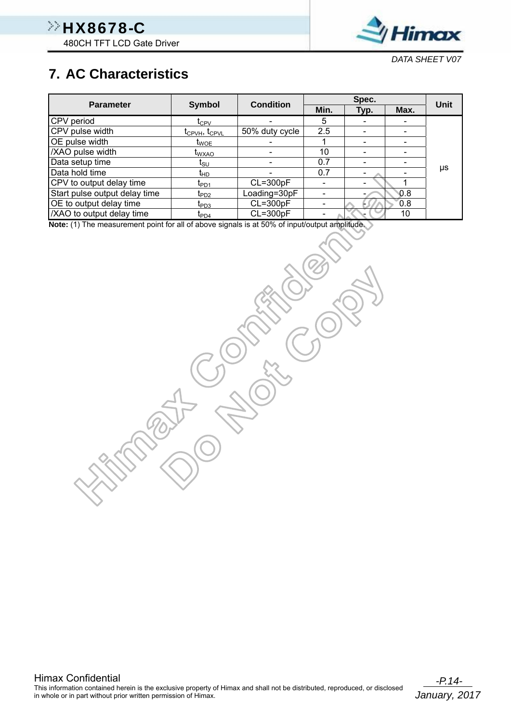

*DATA SHEET V07*

### **7. AC Characteristics**

|                               |                                       | <b>Condition</b> |      | Spec. |                              | Unit |
|-------------------------------|---------------------------------------|------------------|------|-------|------------------------------|------|
| <b>Parameter</b>              | Symbol                                |                  | Min. | Typ.  | Max.                         |      |
| CPV period                    | $\frak{t}_{\rm CPV}$                  |                  | 5    |       |                              |      |
| CPV pulse width               | t <sub>CPVH</sub> , t <sub>CPVL</sub> | 50% duty cycle   | 2.5  |       |                              |      |
| OE pulse width                | t <sub>WOE</sub>                      |                  |      |       |                              |      |
| /XAO pulse width              | <b>I</b> wxao                         |                  | 10   |       |                              |      |
| Data setup time               | Isu                                   |                  | 0.7  | -     | $\qquad \qquad \blacksquare$ |      |
| Data hold time                | ŀЮ                                    |                  | 0.7  |       |                              | μs   |
| CPV to output delay time      | $I_{PD1}$                             | $CL = 300pF$     |      |       |                              |      |
| Start pulse output delay time | $t_{PD2}$                             | Loading=30pF     |      |       | 0.8                          |      |
| OE to output delay time       | $t_{PD3}$                             | $CL = 300pF$     |      |       | 0.8                          |      |
| /XAO to output delay time     | $\mathfrak{r}_{\text{PD4}}$           | $CL = 300pF$     |      |       | 10                           |      |

**Note:** (1) The measurement point for all of above signals is at 50% of input/output amplitude.

Himax Confidential<br>This information contained herein is the exclusive property of Himax and shall not be distributed, reproduced, or disclosed in whole or in part without prior written permission of Himax.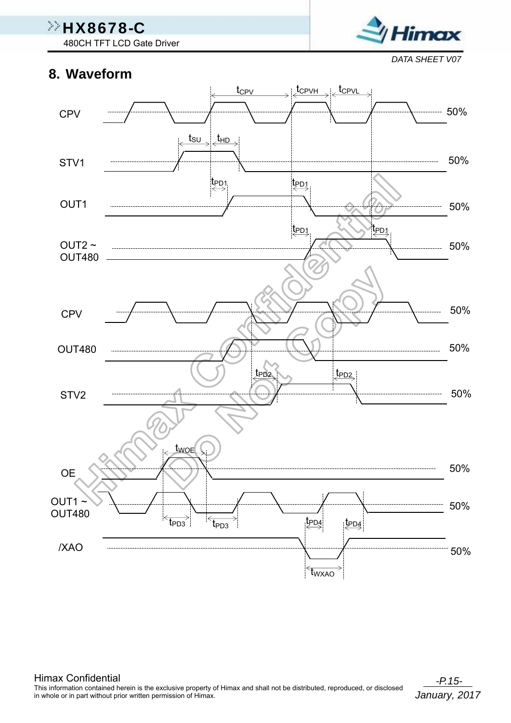480CH TFT LCD Gate Driver

#### **8. Waveform**

*DATA SHEET V07*

Himax

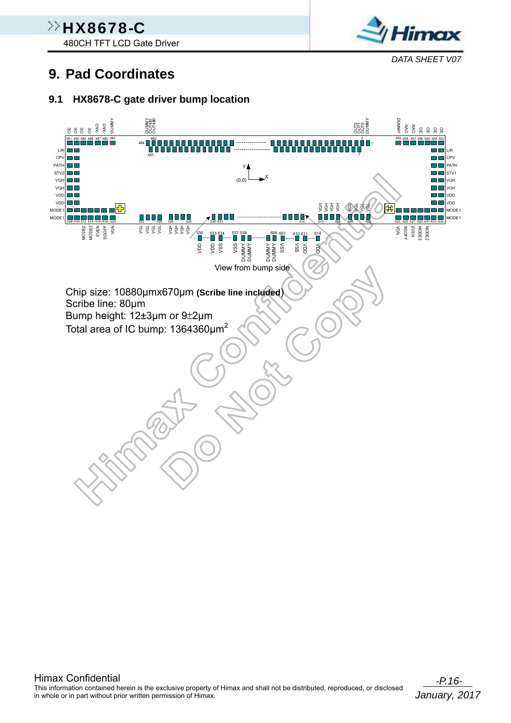480CH TFT LCD Gate Driver



*DATA SHEET V07*

### **9. Pad Coordinates**

#### **9.1 HX8678-C gate driver bump location**

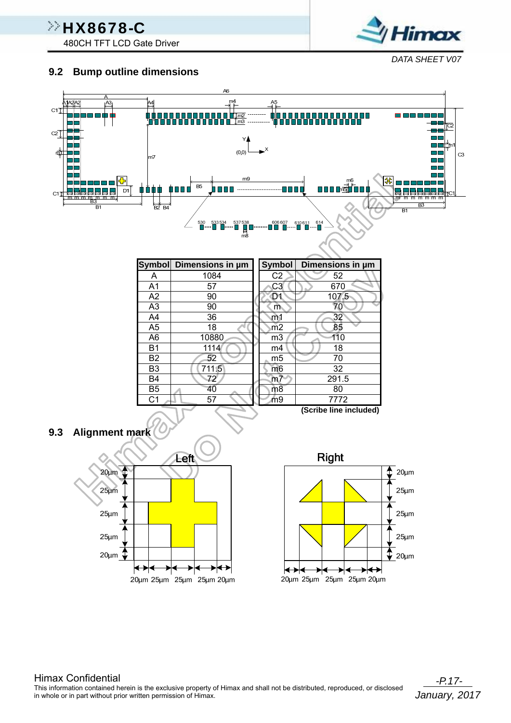480CH TFT LCD Gate Driver

# timax *DATA SHEET V07*

#### **9.2 Bump outline dimensions**

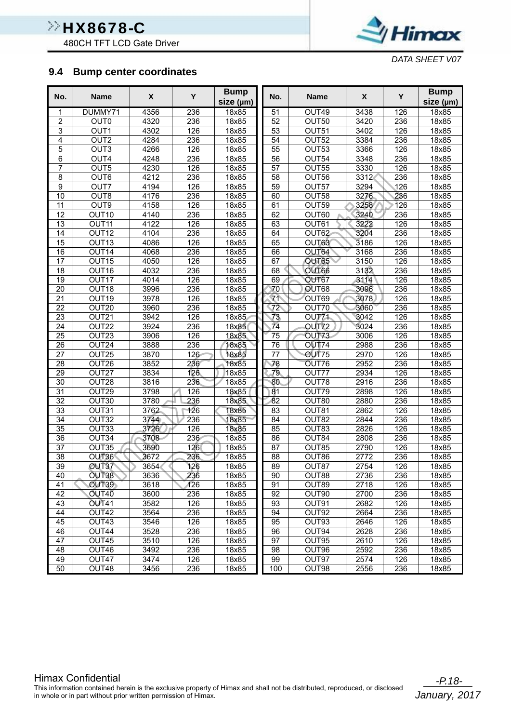480CH TFT LCD Gate Driver



*DATA SHEET V07*

#### **9.4 Bump center coordinates**

| size (µm)<br>size (µm)<br>4356<br>51<br>126<br>18x85<br>DUMMY71<br>236<br>18x85<br>OUT49<br>3438<br>1<br>2<br>OUT <sub>0</sub><br>4320<br>18x85<br>52<br>OUT50<br>3420<br>236<br>18x85<br>236<br>3<br>OUT <sub>1</sub><br>$\overline{53}$<br>126<br>4302<br>126<br>18x85<br>OUT51<br>3402<br>18x85<br>$\overline{4}$<br>OUT <sub>2</sub><br>4284<br>236<br>18x85<br>54<br>OUT <sub>52</sub><br>3384<br>236<br>18x85<br>5<br>OUT <sub>3</sub><br>$\overline{55}$<br>126<br>4266<br>126<br>18x85<br>OUT53<br>3366<br>18x85<br>OUT4<br>6<br>4248<br>236<br>18x85<br>56<br>OUT54<br>3348<br>236<br>18x85<br>7<br>OUT5<br>4230<br>57<br>OUT55<br>3330<br>126<br>18x85<br>126<br>18x85<br>8<br>OUT6<br>4212<br>236<br>18x85<br>58<br>OUT56<br>3312<br>236<br>18x85<br>$\overline{9}$<br>OUT7<br>126<br>3294<br>$\overline{126}$<br>4194<br>18x85<br>59<br>OUT57<br>18x85<br>236<br>10<br>OUT8<br>4176<br>236<br>3276<br>18x85<br>60<br>OUT58<br>18x85<br>$\overline{11}$<br>OUT9<br>61<br>3258<br>126<br>4158<br>126<br>18x85<br>OUT59<br>18x85<br>$\overline{12}$<br>236<br>18x85<br>62<br>OUT60<br>3240<br>236<br>18x85<br>OUT <sub>10</sub><br>4140<br>13<br>4122<br>126<br>18x85<br>63<br>OUT61<br>3222<br>126<br>18x85<br>OUT <sub>11</sub><br>$\overline{14}$<br>236<br>3204<br>236<br>OUT <sub>12</sub><br>4104<br>18x85<br>64<br>OUT62<br>18x85<br>3186<br>15<br>OUT <sub>13</sub><br>4086<br>126<br>65<br>126<br>18x85<br>18x85<br>OUT63<br>236<br>OUT64<br>236<br>18x85<br>16<br>OUT14<br>4068<br>18x85<br>66<br>3168<br>17<br>4050<br>126<br>18x85<br>67<br>OUT65<br>3150<br>126<br>18x85<br>OUT15<br>3132<br>236<br>18<br>OUT16<br>4032<br>236<br>18x85<br>68<br>OUT66<br>18x85<br>19<br>4014<br>126<br>69<br>OUT67<br>3114<br>126<br>OUT <sub>17</sub><br>18x85<br>18x85<br>236<br>20<br>OUT18<br>3996<br>236<br>18x85<br>OUT68<br>3096<br>18x85<br>70<br>71<br>$\overline{21}$<br>126<br>OUT19<br>3978<br>126<br>OUT69<br>3078<br>18x85<br>18x85<br>$\overline{22}$<br>72<br>236<br>OUT20<br>3960<br>236<br>18x85<br>OUT70<br>3060<br>18x85<br>126<br>18x85<br>23<br>OUT21<br>3942<br>126<br>18x85<br>OUT <sub>71</sub><br>3042<br>73<br>$\overline{74}$<br>3024<br>24<br>OUT22<br>3924<br>236<br>236<br>18x85<br>OUT72<br>18x85<br>$\overline{126}$<br>25<br>OUT23<br>3906<br>18x85<br>75<br>3006<br>126<br>18x85<br>OUT73<br>236<br>$\overline{26}$<br>OUT24<br>236<br>3888<br>18x85<br>76<br><b>OUT74</b><br>2988<br>18x85<br>$\overline{27}$<br>OUT75<br>OUT25<br>3870<br>126<br>18x85<br>77<br>2970<br>126<br>18x85<br>236<br>OUT26<br>3852<br>236<br>18x85<br>78<br>2952<br>18x85<br>28<br>OUT76<br>79<br>29<br>OUT27<br>3834<br>126<br>18x85<br>2934<br>126<br>18x85<br>OUT77<br>30<br>OUT28<br>3816<br>236<br>18x85<br>80<br>2916<br>236<br>18x85<br>OUT78<br>$\overline{31}$<br>OUT29<br>3798<br>OUT79<br>2898<br>126<br>126<br>18x85<br>81<br>18x85<br>$\overline{32}$<br>OUT30<br>3780<br>236<br>18x85<br>82<br>OUT80<br>2880<br>236<br>18x85<br>33<br>3762<br>126<br>18x85<br>83<br>2862<br>126<br>18x85<br>OUT31<br>OUT81<br>34<br>3744<br>18x85<br>236<br>18x85<br>OUT32<br>236<br>84<br>OUT82<br>2844<br>35<br>OUT33<br>3726<br>126<br>85<br>OUT83<br>2826<br>126<br>18x85<br>18x85<br>236<br>36<br>OUT34<br>236<br>86<br>OUT84<br>2808<br>18x85<br>3708<br>18x85<br>$\overline{87}$<br>126<br>37<br>OUT35<br>3690<br>126<br>18x85<br>OUT85<br>2790<br>18x85<br>$\overline{38}$<br>3672<br>236<br>18x85<br>88<br>OUT86<br>2772<br>236<br>18x85<br>OUT36<br>$\overline{39}$<br>89<br>OUT37<br>3654<br>126<br>2754<br>126<br>18x85<br>OUT87<br>18x85<br>OUT38<br>3636<br>236<br>18x85<br>90<br>OUT88<br>2736<br>236<br>40<br>18x85<br>41<br>OUT39<br>3618<br>126<br>18x85<br>91<br>OUT89<br>2718<br>126<br>18x85<br>42<br>OUT40<br>92<br>3600<br>236<br>18x85<br>OUT90<br>2700<br>236<br>18x85<br>43<br><b>OUT41</b><br>93<br>OUT91<br>2682<br>3582<br>126<br>18x85<br>126<br>18x85<br>OUT42<br>OUT92<br>44<br>3564<br>236<br>18x85<br>94<br>2664<br>236<br>18x85<br>126<br>95<br>OUT93<br>126<br>45<br>OUT43<br>3546<br>18x85<br>2646<br>18x85<br>46<br>OUT44<br>3528<br>236<br>96<br>OUT94<br>2628<br>236<br>18x85<br>18x85<br>47<br>OUT45<br>126<br>97<br>OUT95<br>2610<br>126<br>3510<br>18x85<br>18x85<br>OUT96<br>236<br>48<br>OUT46<br>3492<br>236<br>18x85<br>98<br>2592<br>18x85<br>OUT47<br>99<br>OUT97<br>2574<br>126<br>49<br>3474<br>126<br>18x85<br>18x85 | No. | <b>Name</b> | X    | Y   | <b>Bump</b> | No. | <b>Name</b> | X    | Y   | <b>Bump</b> |
|----------------------------------------------------------------------------------------------------------------------------------------------------------------------------------------------------------------------------------------------------------------------------------------------------------------------------------------------------------------------------------------------------------------------------------------------------------------------------------------------------------------------------------------------------------------------------------------------------------------------------------------------------------------------------------------------------------------------------------------------------------------------------------------------------------------------------------------------------------------------------------------------------------------------------------------------------------------------------------------------------------------------------------------------------------------------------------------------------------------------------------------------------------------------------------------------------------------------------------------------------------------------------------------------------------------------------------------------------------------------------------------------------------------------------------------------------------------------------------------------------------------------------------------------------------------------------------------------------------------------------------------------------------------------------------------------------------------------------------------------------------------------------------------------------------------------------------------------------------------------------------------------------------------------------------------------------------------------------------------------------------------------------------------------------------------------------------------------------------------------------------------------------------------------------------------------------------------------------------------------------------------------------------------------------------------------------------------------------------------------------------------------------------------------------------------------------------------------------------------------------------------------------------------------------------------------------------------------------------------------------------------------------------------------------------------------------------------------------------------------------------------------------------------------------------------------------------------------------------------------------------------------------------------------------------------------------------------------------------------------------------------------------------------------------------------------------------------------------------------------------------------------------------------------------------------------------------------------------------------------------------------------------------------------------------------------------------------------------------------------------------------------------------------------------------------------------------------------------------------------------------------------------------------------------------------------------------------------------------------------------------------------------------------------------------------------------------------------------------------------------------------------------------------------------------------------------------------------------------------------------------------------------------------------------------------------------------------------------------------------------------------------------------------------------------------------------------------------------------------------------------------------------------------------------------------------------------------------------------------------------------------------------------------------------------------------------------------------------------------------------------------------|-----|-------------|------|-----|-------------|-----|-------------|------|-----|-------------|
|                                                                                                                                                                                                                                                                                                                                                                                                                                                                                                                                                                                                                                                                                                                                                                                                                                                                                                                                                                                                                                                                                                                                                                                                                                                                                                                                                                                                                                                                                                                                                                                                                                                                                                                                                                                                                                                                                                                                                                                                                                                                                                                                                                                                                                                                                                                                                                                                                                                                                                                                                                                                                                                                                                                                                                                                                                                                                                                                                                                                                                                                                                                                                                                                                                                                                                                                                                                                                                                                                                                                                                                                                                                                                                                                                                                                                                                                                                                                                                                                                                                                                                                                                                                                                                                                                                                                                                                              |     |             |      |     |             |     |             |      |     |             |
|                                                                                                                                                                                                                                                                                                                                                                                                                                                                                                                                                                                                                                                                                                                                                                                                                                                                                                                                                                                                                                                                                                                                                                                                                                                                                                                                                                                                                                                                                                                                                                                                                                                                                                                                                                                                                                                                                                                                                                                                                                                                                                                                                                                                                                                                                                                                                                                                                                                                                                                                                                                                                                                                                                                                                                                                                                                                                                                                                                                                                                                                                                                                                                                                                                                                                                                                                                                                                                                                                                                                                                                                                                                                                                                                                                                                                                                                                                                                                                                                                                                                                                                                                                                                                                                                                                                                                                                              |     |             |      |     |             |     |             |      |     |             |
|                                                                                                                                                                                                                                                                                                                                                                                                                                                                                                                                                                                                                                                                                                                                                                                                                                                                                                                                                                                                                                                                                                                                                                                                                                                                                                                                                                                                                                                                                                                                                                                                                                                                                                                                                                                                                                                                                                                                                                                                                                                                                                                                                                                                                                                                                                                                                                                                                                                                                                                                                                                                                                                                                                                                                                                                                                                                                                                                                                                                                                                                                                                                                                                                                                                                                                                                                                                                                                                                                                                                                                                                                                                                                                                                                                                                                                                                                                                                                                                                                                                                                                                                                                                                                                                                                                                                                                                              |     |             |      |     |             |     |             |      |     |             |
|                                                                                                                                                                                                                                                                                                                                                                                                                                                                                                                                                                                                                                                                                                                                                                                                                                                                                                                                                                                                                                                                                                                                                                                                                                                                                                                                                                                                                                                                                                                                                                                                                                                                                                                                                                                                                                                                                                                                                                                                                                                                                                                                                                                                                                                                                                                                                                                                                                                                                                                                                                                                                                                                                                                                                                                                                                                                                                                                                                                                                                                                                                                                                                                                                                                                                                                                                                                                                                                                                                                                                                                                                                                                                                                                                                                                                                                                                                                                                                                                                                                                                                                                                                                                                                                                                                                                                                                              |     |             |      |     |             |     |             |      |     |             |
|                                                                                                                                                                                                                                                                                                                                                                                                                                                                                                                                                                                                                                                                                                                                                                                                                                                                                                                                                                                                                                                                                                                                                                                                                                                                                                                                                                                                                                                                                                                                                                                                                                                                                                                                                                                                                                                                                                                                                                                                                                                                                                                                                                                                                                                                                                                                                                                                                                                                                                                                                                                                                                                                                                                                                                                                                                                                                                                                                                                                                                                                                                                                                                                                                                                                                                                                                                                                                                                                                                                                                                                                                                                                                                                                                                                                                                                                                                                                                                                                                                                                                                                                                                                                                                                                                                                                                                                              |     |             |      |     |             |     |             |      |     |             |
|                                                                                                                                                                                                                                                                                                                                                                                                                                                                                                                                                                                                                                                                                                                                                                                                                                                                                                                                                                                                                                                                                                                                                                                                                                                                                                                                                                                                                                                                                                                                                                                                                                                                                                                                                                                                                                                                                                                                                                                                                                                                                                                                                                                                                                                                                                                                                                                                                                                                                                                                                                                                                                                                                                                                                                                                                                                                                                                                                                                                                                                                                                                                                                                                                                                                                                                                                                                                                                                                                                                                                                                                                                                                                                                                                                                                                                                                                                                                                                                                                                                                                                                                                                                                                                                                                                                                                                                              |     |             |      |     |             |     |             |      |     |             |
|                                                                                                                                                                                                                                                                                                                                                                                                                                                                                                                                                                                                                                                                                                                                                                                                                                                                                                                                                                                                                                                                                                                                                                                                                                                                                                                                                                                                                                                                                                                                                                                                                                                                                                                                                                                                                                                                                                                                                                                                                                                                                                                                                                                                                                                                                                                                                                                                                                                                                                                                                                                                                                                                                                                                                                                                                                                                                                                                                                                                                                                                                                                                                                                                                                                                                                                                                                                                                                                                                                                                                                                                                                                                                                                                                                                                                                                                                                                                                                                                                                                                                                                                                                                                                                                                                                                                                                                              |     |             |      |     |             |     |             |      |     |             |
|                                                                                                                                                                                                                                                                                                                                                                                                                                                                                                                                                                                                                                                                                                                                                                                                                                                                                                                                                                                                                                                                                                                                                                                                                                                                                                                                                                                                                                                                                                                                                                                                                                                                                                                                                                                                                                                                                                                                                                                                                                                                                                                                                                                                                                                                                                                                                                                                                                                                                                                                                                                                                                                                                                                                                                                                                                                                                                                                                                                                                                                                                                                                                                                                                                                                                                                                                                                                                                                                                                                                                                                                                                                                                                                                                                                                                                                                                                                                                                                                                                                                                                                                                                                                                                                                                                                                                                                              |     |             |      |     |             |     |             |      |     |             |
|                                                                                                                                                                                                                                                                                                                                                                                                                                                                                                                                                                                                                                                                                                                                                                                                                                                                                                                                                                                                                                                                                                                                                                                                                                                                                                                                                                                                                                                                                                                                                                                                                                                                                                                                                                                                                                                                                                                                                                                                                                                                                                                                                                                                                                                                                                                                                                                                                                                                                                                                                                                                                                                                                                                                                                                                                                                                                                                                                                                                                                                                                                                                                                                                                                                                                                                                                                                                                                                                                                                                                                                                                                                                                                                                                                                                                                                                                                                                                                                                                                                                                                                                                                                                                                                                                                                                                                                              |     |             |      |     |             |     |             |      |     |             |
|                                                                                                                                                                                                                                                                                                                                                                                                                                                                                                                                                                                                                                                                                                                                                                                                                                                                                                                                                                                                                                                                                                                                                                                                                                                                                                                                                                                                                                                                                                                                                                                                                                                                                                                                                                                                                                                                                                                                                                                                                                                                                                                                                                                                                                                                                                                                                                                                                                                                                                                                                                                                                                                                                                                                                                                                                                                                                                                                                                                                                                                                                                                                                                                                                                                                                                                                                                                                                                                                                                                                                                                                                                                                                                                                                                                                                                                                                                                                                                                                                                                                                                                                                                                                                                                                                                                                                                                              |     |             |      |     |             |     |             |      |     |             |
|                                                                                                                                                                                                                                                                                                                                                                                                                                                                                                                                                                                                                                                                                                                                                                                                                                                                                                                                                                                                                                                                                                                                                                                                                                                                                                                                                                                                                                                                                                                                                                                                                                                                                                                                                                                                                                                                                                                                                                                                                                                                                                                                                                                                                                                                                                                                                                                                                                                                                                                                                                                                                                                                                                                                                                                                                                                                                                                                                                                                                                                                                                                                                                                                                                                                                                                                                                                                                                                                                                                                                                                                                                                                                                                                                                                                                                                                                                                                                                                                                                                                                                                                                                                                                                                                                                                                                                                              |     |             |      |     |             |     |             |      |     |             |
|                                                                                                                                                                                                                                                                                                                                                                                                                                                                                                                                                                                                                                                                                                                                                                                                                                                                                                                                                                                                                                                                                                                                                                                                                                                                                                                                                                                                                                                                                                                                                                                                                                                                                                                                                                                                                                                                                                                                                                                                                                                                                                                                                                                                                                                                                                                                                                                                                                                                                                                                                                                                                                                                                                                                                                                                                                                                                                                                                                                                                                                                                                                                                                                                                                                                                                                                                                                                                                                                                                                                                                                                                                                                                                                                                                                                                                                                                                                                                                                                                                                                                                                                                                                                                                                                                                                                                                                              |     |             |      |     |             |     |             |      |     |             |
|                                                                                                                                                                                                                                                                                                                                                                                                                                                                                                                                                                                                                                                                                                                                                                                                                                                                                                                                                                                                                                                                                                                                                                                                                                                                                                                                                                                                                                                                                                                                                                                                                                                                                                                                                                                                                                                                                                                                                                                                                                                                                                                                                                                                                                                                                                                                                                                                                                                                                                                                                                                                                                                                                                                                                                                                                                                                                                                                                                                                                                                                                                                                                                                                                                                                                                                                                                                                                                                                                                                                                                                                                                                                                                                                                                                                                                                                                                                                                                                                                                                                                                                                                                                                                                                                                                                                                                                              |     |             |      |     |             |     |             |      |     |             |
|                                                                                                                                                                                                                                                                                                                                                                                                                                                                                                                                                                                                                                                                                                                                                                                                                                                                                                                                                                                                                                                                                                                                                                                                                                                                                                                                                                                                                                                                                                                                                                                                                                                                                                                                                                                                                                                                                                                                                                                                                                                                                                                                                                                                                                                                                                                                                                                                                                                                                                                                                                                                                                                                                                                                                                                                                                                                                                                                                                                                                                                                                                                                                                                                                                                                                                                                                                                                                                                                                                                                                                                                                                                                                                                                                                                                                                                                                                                                                                                                                                                                                                                                                                                                                                                                                                                                                                                              |     |             |      |     |             |     |             |      |     |             |
|                                                                                                                                                                                                                                                                                                                                                                                                                                                                                                                                                                                                                                                                                                                                                                                                                                                                                                                                                                                                                                                                                                                                                                                                                                                                                                                                                                                                                                                                                                                                                                                                                                                                                                                                                                                                                                                                                                                                                                                                                                                                                                                                                                                                                                                                                                                                                                                                                                                                                                                                                                                                                                                                                                                                                                                                                                                                                                                                                                                                                                                                                                                                                                                                                                                                                                                                                                                                                                                                                                                                                                                                                                                                                                                                                                                                                                                                                                                                                                                                                                                                                                                                                                                                                                                                                                                                                                                              |     |             |      |     |             |     |             |      |     |             |
|                                                                                                                                                                                                                                                                                                                                                                                                                                                                                                                                                                                                                                                                                                                                                                                                                                                                                                                                                                                                                                                                                                                                                                                                                                                                                                                                                                                                                                                                                                                                                                                                                                                                                                                                                                                                                                                                                                                                                                                                                                                                                                                                                                                                                                                                                                                                                                                                                                                                                                                                                                                                                                                                                                                                                                                                                                                                                                                                                                                                                                                                                                                                                                                                                                                                                                                                                                                                                                                                                                                                                                                                                                                                                                                                                                                                                                                                                                                                                                                                                                                                                                                                                                                                                                                                                                                                                                                              |     |             |      |     |             |     |             |      |     |             |
|                                                                                                                                                                                                                                                                                                                                                                                                                                                                                                                                                                                                                                                                                                                                                                                                                                                                                                                                                                                                                                                                                                                                                                                                                                                                                                                                                                                                                                                                                                                                                                                                                                                                                                                                                                                                                                                                                                                                                                                                                                                                                                                                                                                                                                                                                                                                                                                                                                                                                                                                                                                                                                                                                                                                                                                                                                                                                                                                                                                                                                                                                                                                                                                                                                                                                                                                                                                                                                                                                                                                                                                                                                                                                                                                                                                                                                                                                                                                                                                                                                                                                                                                                                                                                                                                                                                                                                                              |     |             |      |     |             |     |             |      |     |             |
|                                                                                                                                                                                                                                                                                                                                                                                                                                                                                                                                                                                                                                                                                                                                                                                                                                                                                                                                                                                                                                                                                                                                                                                                                                                                                                                                                                                                                                                                                                                                                                                                                                                                                                                                                                                                                                                                                                                                                                                                                                                                                                                                                                                                                                                                                                                                                                                                                                                                                                                                                                                                                                                                                                                                                                                                                                                                                                                                                                                                                                                                                                                                                                                                                                                                                                                                                                                                                                                                                                                                                                                                                                                                                                                                                                                                                                                                                                                                                                                                                                                                                                                                                                                                                                                                                                                                                                                              |     |             |      |     |             |     |             |      |     |             |
|                                                                                                                                                                                                                                                                                                                                                                                                                                                                                                                                                                                                                                                                                                                                                                                                                                                                                                                                                                                                                                                                                                                                                                                                                                                                                                                                                                                                                                                                                                                                                                                                                                                                                                                                                                                                                                                                                                                                                                                                                                                                                                                                                                                                                                                                                                                                                                                                                                                                                                                                                                                                                                                                                                                                                                                                                                                                                                                                                                                                                                                                                                                                                                                                                                                                                                                                                                                                                                                                                                                                                                                                                                                                                                                                                                                                                                                                                                                                                                                                                                                                                                                                                                                                                                                                                                                                                                                              |     |             |      |     |             |     |             |      |     |             |
|                                                                                                                                                                                                                                                                                                                                                                                                                                                                                                                                                                                                                                                                                                                                                                                                                                                                                                                                                                                                                                                                                                                                                                                                                                                                                                                                                                                                                                                                                                                                                                                                                                                                                                                                                                                                                                                                                                                                                                                                                                                                                                                                                                                                                                                                                                                                                                                                                                                                                                                                                                                                                                                                                                                                                                                                                                                                                                                                                                                                                                                                                                                                                                                                                                                                                                                                                                                                                                                                                                                                                                                                                                                                                                                                                                                                                                                                                                                                                                                                                                                                                                                                                                                                                                                                                                                                                                                              |     |             |      |     |             |     |             |      |     |             |
|                                                                                                                                                                                                                                                                                                                                                                                                                                                                                                                                                                                                                                                                                                                                                                                                                                                                                                                                                                                                                                                                                                                                                                                                                                                                                                                                                                                                                                                                                                                                                                                                                                                                                                                                                                                                                                                                                                                                                                                                                                                                                                                                                                                                                                                                                                                                                                                                                                                                                                                                                                                                                                                                                                                                                                                                                                                                                                                                                                                                                                                                                                                                                                                                                                                                                                                                                                                                                                                                                                                                                                                                                                                                                                                                                                                                                                                                                                                                                                                                                                                                                                                                                                                                                                                                                                                                                                                              |     |             |      |     |             |     |             |      |     |             |
|                                                                                                                                                                                                                                                                                                                                                                                                                                                                                                                                                                                                                                                                                                                                                                                                                                                                                                                                                                                                                                                                                                                                                                                                                                                                                                                                                                                                                                                                                                                                                                                                                                                                                                                                                                                                                                                                                                                                                                                                                                                                                                                                                                                                                                                                                                                                                                                                                                                                                                                                                                                                                                                                                                                                                                                                                                                                                                                                                                                                                                                                                                                                                                                                                                                                                                                                                                                                                                                                                                                                                                                                                                                                                                                                                                                                                                                                                                                                                                                                                                                                                                                                                                                                                                                                                                                                                                                              |     |             |      |     |             |     |             |      |     |             |
|                                                                                                                                                                                                                                                                                                                                                                                                                                                                                                                                                                                                                                                                                                                                                                                                                                                                                                                                                                                                                                                                                                                                                                                                                                                                                                                                                                                                                                                                                                                                                                                                                                                                                                                                                                                                                                                                                                                                                                                                                                                                                                                                                                                                                                                                                                                                                                                                                                                                                                                                                                                                                                                                                                                                                                                                                                                                                                                                                                                                                                                                                                                                                                                                                                                                                                                                                                                                                                                                                                                                                                                                                                                                                                                                                                                                                                                                                                                                                                                                                                                                                                                                                                                                                                                                                                                                                                                              |     |             |      |     |             |     |             |      |     |             |
|                                                                                                                                                                                                                                                                                                                                                                                                                                                                                                                                                                                                                                                                                                                                                                                                                                                                                                                                                                                                                                                                                                                                                                                                                                                                                                                                                                                                                                                                                                                                                                                                                                                                                                                                                                                                                                                                                                                                                                                                                                                                                                                                                                                                                                                                                                                                                                                                                                                                                                                                                                                                                                                                                                                                                                                                                                                                                                                                                                                                                                                                                                                                                                                                                                                                                                                                                                                                                                                                                                                                                                                                                                                                                                                                                                                                                                                                                                                                                                                                                                                                                                                                                                                                                                                                                                                                                                                              |     |             |      |     |             |     |             |      |     |             |
|                                                                                                                                                                                                                                                                                                                                                                                                                                                                                                                                                                                                                                                                                                                                                                                                                                                                                                                                                                                                                                                                                                                                                                                                                                                                                                                                                                                                                                                                                                                                                                                                                                                                                                                                                                                                                                                                                                                                                                                                                                                                                                                                                                                                                                                                                                                                                                                                                                                                                                                                                                                                                                                                                                                                                                                                                                                                                                                                                                                                                                                                                                                                                                                                                                                                                                                                                                                                                                                                                                                                                                                                                                                                                                                                                                                                                                                                                                                                                                                                                                                                                                                                                                                                                                                                                                                                                                                              |     |             |      |     |             |     |             |      |     |             |
|                                                                                                                                                                                                                                                                                                                                                                                                                                                                                                                                                                                                                                                                                                                                                                                                                                                                                                                                                                                                                                                                                                                                                                                                                                                                                                                                                                                                                                                                                                                                                                                                                                                                                                                                                                                                                                                                                                                                                                                                                                                                                                                                                                                                                                                                                                                                                                                                                                                                                                                                                                                                                                                                                                                                                                                                                                                                                                                                                                                                                                                                                                                                                                                                                                                                                                                                                                                                                                                                                                                                                                                                                                                                                                                                                                                                                                                                                                                                                                                                                                                                                                                                                                                                                                                                                                                                                                                              |     |             |      |     |             |     |             |      |     |             |
|                                                                                                                                                                                                                                                                                                                                                                                                                                                                                                                                                                                                                                                                                                                                                                                                                                                                                                                                                                                                                                                                                                                                                                                                                                                                                                                                                                                                                                                                                                                                                                                                                                                                                                                                                                                                                                                                                                                                                                                                                                                                                                                                                                                                                                                                                                                                                                                                                                                                                                                                                                                                                                                                                                                                                                                                                                                                                                                                                                                                                                                                                                                                                                                                                                                                                                                                                                                                                                                                                                                                                                                                                                                                                                                                                                                                                                                                                                                                                                                                                                                                                                                                                                                                                                                                                                                                                                                              |     |             |      |     |             |     |             |      |     |             |
|                                                                                                                                                                                                                                                                                                                                                                                                                                                                                                                                                                                                                                                                                                                                                                                                                                                                                                                                                                                                                                                                                                                                                                                                                                                                                                                                                                                                                                                                                                                                                                                                                                                                                                                                                                                                                                                                                                                                                                                                                                                                                                                                                                                                                                                                                                                                                                                                                                                                                                                                                                                                                                                                                                                                                                                                                                                                                                                                                                                                                                                                                                                                                                                                                                                                                                                                                                                                                                                                                                                                                                                                                                                                                                                                                                                                                                                                                                                                                                                                                                                                                                                                                                                                                                                                                                                                                                                              |     |             |      |     |             |     |             |      |     |             |
|                                                                                                                                                                                                                                                                                                                                                                                                                                                                                                                                                                                                                                                                                                                                                                                                                                                                                                                                                                                                                                                                                                                                                                                                                                                                                                                                                                                                                                                                                                                                                                                                                                                                                                                                                                                                                                                                                                                                                                                                                                                                                                                                                                                                                                                                                                                                                                                                                                                                                                                                                                                                                                                                                                                                                                                                                                                                                                                                                                                                                                                                                                                                                                                                                                                                                                                                                                                                                                                                                                                                                                                                                                                                                                                                                                                                                                                                                                                                                                                                                                                                                                                                                                                                                                                                                                                                                                                              |     |             |      |     |             |     |             |      |     |             |
|                                                                                                                                                                                                                                                                                                                                                                                                                                                                                                                                                                                                                                                                                                                                                                                                                                                                                                                                                                                                                                                                                                                                                                                                                                                                                                                                                                                                                                                                                                                                                                                                                                                                                                                                                                                                                                                                                                                                                                                                                                                                                                                                                                                                                                                                                                                                                                                                                                                                                                                                                                                                                                                                                                                                                                                                                                                                                                                                                                                                                                                                                                                                                                                                                                                                                                                                                                                                                                                                                                                                                                                                                                                                                                                                                                                                                                                                                                                                                                                                                                                                                                                                                                                                                                                                                                                                                                                              |     |             |      |     |             |     |             |      |     |             |
|                                                                                                                                                                                                                                                                                                                                                                                                                                                                                                                                                                                                                                                                                                                                                                                                                                                                                                                                                                                                                                                                                                                                                                                                                                                                                                                                                                                                                                                                                                                                                                                                                                                                                                                                                                                                                                                                                                                                                                                                                                                                                                                                                                                                                                                                                                                                                                                                                                                                                                                                                                                                                                                                                                                                                                                                                                                                                                                                                                                                                                                                                                                                                                                                                                                                                                                                                                                                                                                                                                                                                                                                                                                                                                                                                                                                                                                                                                                                                                                                                                                                                                                                                                                                                                                                                                                                                                                              |     |             |      |     |             |     |             |      |     |             |
|                                                                                                                                                                                                                                                                                                                                                                                                                                                                                                                                                                                                                                                                                                                                                                                                                                                                                                                                                                                                                                                                                                                                                                                                                                                                                                                                                                                                                                                                                                                                                                                                                                                                                                                                                                                                                                                                                                                                                                                                                                                                                                                                                                                                                                                                                                                                                                                                                                                                                                                                                                                                                                                                                                                                                                                                                                                                                                                                                                                                                                                                                                                                                                                                                                                                                                                                                                                                                                                                                                                                                                                                                                                                                                                                                                                                                                                                                                                                                                                                                                                                                                                                                                                                                                                                                                                                                                                              |     |             |      |     |             |     |             |      |     |             |
|                                                                                                                                                                                                                                                                                                                                                                                                                                                                                                                                                                                                                                                                                                                                                                                                                                                                                                                                                                                                                                                                                                                                                                                                                                                                                                                                                                                                                                                                                                                                                                                                                                                                                                                                                                                                                                                                                                                                                                                                                                                                                                                                                                                                                                                                                                                                                                                                                                                                                                                                                                                                                                                                                                                                                                                                                                                                                                                                                                                                                                                                                                                                                                                                                                                                                                                                                                                                                                                                                                                                                                                                                                                                                                                                                                                                                                                                                                                                                                                                                                                                                                                                                                                                                                                                                                                                                                                              |     |             |      |     |             |     |             |      |     |             |
|                                                                                                                                                                                                                                                                                                                                                                                                                                                                                                                                                                                                                                                                                                                                                                                                                                                                                                                                                                                                                                                                                                                                                                                                                                                                                                                                                                                                                                                                                                                                                                                                                                                                                                                                                                                                                                                                                                                                                                                                                                                                                                                                                                                                                                                                                                                                                                                                                                                                                                                                                                                                                                                                                                                                                                                                                                                                                                                                                                                                                                                                                                                                                                                                                                                                                                                                                                                                                                                                                                                                                                                                                                                                                                                                                                                                                                                                                                                                                                                                                                                                                                                                                                                                                                                                                                                                                                                              |     |             |      |     |             |     |             |      |     |             |
|                                                                                                                                                                                                                                                                                                                                                                                                                                                                                                                                                                                                                                                                                                                                                                                                                                                                                                                                                                                                                                                                                                                                                                                                                                                                                                                                                                                                                                                                                                                                                                                                                                                                                                                                                                                                                                                                                                                                                                                                                                                                                                                                                                                                                                                                                                                                                                                                                                                                                                                                                                                                                                                                                                                                                                                                                                                                                                                                                                                                                                                                                                                                                                                                                                                                                                                                                                                                                                                                                                                                                                                                                                                                                                                                                                                                                                                                                                                                                                                                                                                                                                                                                                                                                                                                                                                                                                                              |     |             |      |     |             |     |             |      |     |             |
|                                                                                                                                                                                                                                                                                                                                                                                                                                                                                                                                                                                                                                                                                                                                                                                                                                                                                                                                                                                                                                                                                                                                                                                                                                                                                                                                                                                                                                                                                                                                                                                                                                                                                                                                                                                                                                                                                                                                                                                                                                                                                                                                                                                                                                                                                                                                                                                                                                                                                                                                                                                                                                                                                                                                                                                                                                                                                                                                                                                                                                                                                                                                                                                                                                                                                                                                                                                                                                                                                                                                                                                                                                                                                                                                                                                                                                                                                                                                                                                                                                                                                                                                                                                                                                                                                                                                                                                              |     |             |      |     |             |     |             |      |     |             |
|                                                                                                                                                                                                                                                                                                                                                                                                                                                                                                                                                                                                                                                                                                                                                                                                                                                                                                                                                                                                                                                                                                                                                                                                                                                                                                                                                                                                                                                                                                                                                                                                                                                                                                                                                                                                                                                                                                                                                                                                                                                                                                                                                                                                                                                                                                                                                                                                                                                                                                                                                                                                                                                                                                                                                                                                                                                                                                                                                                                                                                                                                                                                                                                                                                                                                                                                                                                                                                                                                                                                                                                                                                                                                                                                                                                                                                                                                                                                                                                                                                                                                                                                                                                                                                                                                                                                                                                              |     |             |      |     |             |     |             |      |     |             |
|                                                                                                                                                                                                                                                                                                                                                                                                                                                                                                                                                                                                                                                                                                                                                                                                                                                                                                                                                                                                                                                                                                                                                                                                                                                                                                                                                                                                                                                                                                                                                                                                                                                                                                                                                                                                                                                                                                                                                                                                                                                                                                                                                                                                                                                                                                                                                                                                                                                                                                                                                                                                                                                                                                                                                                                                                                                                                                                                                                                                                                                                                                                                                                                                                                                                                                                                                                                                                                                                                                                                                                                                                                                                                                                                                                                                                                                                                                                                                                                                                                                                                                                                                                                                                                                                                                                                                                                              |     |             |      |     |             |     |             |      |     |             |
|                                                                                                                                                                                                                                                                                                                                                                                                                                                                                                                                                                                                                                                                                                                                                                                                                                                                                                                                                                                                                                                                                                                                                                                                                                                                                                                                                                                                                                                                                                                                                                                                                                                                                                                                                                                                                                                                                                                                                                                                                                                                                                                                                                                                                                                                                                                                                                                                                                                                                                                                                                                                                                                                                                                                                                                                                                                                                                                                                                                                                                                                                                                                                                                                                                                                                                                                                                                                                                                                                                                                                                                                                                                                                                                                                                                                                                                                                                                                                                                                                                                                                                                                                                                                                                                                                                                                                                                              |     |             |      |     |             |     |             |      |     |             |
|                                                                                                                                                                                                                                                                                                                                                                                                                                                                                                                                                                                                                                                                                                                                                                                                                                                                                                                                                                                                                                                                                                                                                                                                                                                                                                                                                                                                                                                                                                                                                                                                                                                                                                                                                                                                                                                                                                                                                                                                                                                                                                                                                                                                                                                                                                                                                                                                                                                                                                                                                                                                                                                                                                                                                                                                                                                                                                                                                                                                                                                                                                                                                                                                                                                                                                                                                                                                                                                                                                                                                                                                                                                                                                                                                                                                                                                                                                                                                                                                                                                                                                                                                                                                                                                                                                                                                                                              |     |             |      |     |             |     |             |      |     |             |
|                                                                                                                                                                                                                                                                                                                                                                                                                                                                                                                                                                                                                                                                                                                                                                                                                                                                                                                                                                                                                                                                                                                                                                                                                                                                                                                                                                                                                                                                                                                                                                                                                                                                                                                                                                                                                                                                                                                                                                                                                                                                                                                                                                                                                                                                                                                                                                                                                                                                                                                                                                                                                                                                                                                                                                                                                                                                                                                                                                                                                                                                                                                                                                                                                                                                                                                                                                                                                                                                                                                                                                                                                                                                                                                                                                                                                                                                                                                                                                                                                                                                                                                                                                                                                                                                                                                                                                                              |     |             |      |     |             |     |             |      |     |             |
|                                                                                                                                                                                                                                                                                                                                                                                                                                                                                                                                                                                                                                                                                                                                                                                                                                                                                                                                                                                                                                                                                                                                                                                                                                                                                                                                                                                                                                                                                                                                                                                                                                                                                                                                                                                                                                                                                                                                                                                                                                                                                                                                                                                                                                                                                                                                                                                                                                                                                                                                                                                                                                                                                                                                                                                                                                                                                                                                                                                                                                                                                                                                                                                                                                                                                                                                                                                                                                                                                                                                                                                                                                                                                                                                                                                                                                                                                                                                                                                                                                                                                                                                                                                                                                                                                                                                                                                              |     |             |      |     |             |     |             |      |     |             |
|                                                                                                                                                                                                                                                                                                                                                                                                                                                                                                                                                                                                                                                                                                                                                                                                                                                                                                                                                                                                                                                                                                                                                                                                                                                                                                                                                                                                                                                                                                                                                                                                                                                                                                                                                                                                                                                                                                                                                                                                                                                                                                                                                                                                                                                                                                                                                                                                                                                                                                                                                                                                                                                                                                                                                                                                                                                                                                                                                                                                                                                                                                                                                                                                                                                                                                                                                                                                                                                                                                                                                                                                                                                                                                                                                                                                                                                                                                                                                                                                                                                                                                                                                                                                                                                                                                                                                                                              |     |             |      |     |             |     |             |      |     |             |
|                                                                                                                                                                                                                                                                                                                                                                                                                                                                                                                                                                                                                                                                                                                                                                                                                                                                                                                                                                                                                                                                                                                                                                                                                                                                                                                                                                                                                                                                                                                                                                                                                                                                                                                                                                                                                                                                                                                                                                                                                                                                                                                                                                                                                                                                                                                                                                                                                                                                                                                                                                                                                                                                                                                                                                                                                                                                                                                                                                                                                                                                                                                                                                                                                                                                                                                                                                                                                                                                                                                                                                                                                                                                                                                                                                                                                                                                                                                                                                                                                                                                                                                                                                                                                                                                                                                                                                                              |     |             |      |     |             |     |             |      |     |             |
|                                                                                                                                                                                                                                                                                                                                                                                                                                                                                                                                                                                                                                                                                                                                                                                                                                                                                                                                                                                                                                                                                                                                                                                                                                                                                                                                                                                                                                                                                                                                                                                                                                                                                                                                                                                                                                                                                                                                                                                                                                                                                                                                                                                                                                                                                                                                                                                                                                                                                                                                                                                                                                                                                                                                                                                                                                                                                                                                                                                                                                                                                                                                                                                                                                                                                                                                                                                                                                                                                                                                                                                                                                                                                                                                                                                                                                                                                                                                                                                                                                                                                                                                                                                                                                                                                                                                                                                              |     |             |      |     |             |     |             |      |     |             |
|                                                                                                                                                                                                                                                                                                                                                                                                                                                                                                                                                                                                                                                                                                                                                                                                                                                                                                                                                                                                                                                                                                                                                                                                                                                                                                                                                                                                                                                                                                                                                                                                                                                                                                                                                                                                                                                                                                                                                                                                                                                                                                                                                                                                                                                                                                                                                                                                                                                                                                                                                                                                                                                                                                                                                                                                                                                                                                                                                                                                                                                                                                                                                                                                                                                                                                                                                                                                                                                                                                                                                                                                                                                                                                                                                                                                                                                                                                                                                                                                                                                                                                                                                                                                                                                                                                                                                                                              |     |             |      |     |             |     |             |      |     |             |
|                                                                                                                                                                                                                                                                                                                                                                                                                                                                                                                                                                                                                                                                                                                                                                                                                                                                                                                                                                                                                                                                                                                                                                                                                                                                                                                                                                                                                                                                                                                                                                                                                                                                                                                                                                                                                                                                                                                                                                                                                                                                                                                                                                                                                                                                                                                                                                                                                                                                                                                                                                                                                                                                                                                                                                                                                                                                                                                                                                                                                                                                                                                                                                                                                                                                                                                                                                                                                                                                                                                                                                                                                                                                                                                                                                                                                                                                                                                                                                                                                                                                                                                                                                                                                                                                                                                                                                                              |     |             |      |     |             |     |             |      |     |             |
|                                                                                                                                                                                                                                                                                                                                                                                                                                                                                                                                                                                                                                                                                                                                                                                                                                                                                                                                                                                                                                                                                                                                                                                                                                                                                                                                                                                                                                                                                                                                                                                                                                                                                                                                                                                                                                                                                                                                                                                                                                                                                                                                                                                                                                                                                                                                                                                                                                                                                                                                                                                                                                                                                                                                                                                                                                                                                                                                                                                                                                                                                                                                                                                                                                                                                                                                                                                                                                                                                                                                                                                                                                                                                                                                                                                                                                                                                                                                                                                                                                                                                                                                                                                                                                                                                                                                                                                              |     |             |      |     |             |     |             |      |     |             |
|                                                                                                                                                                                                                                                                                                                                                                                                                                                                                                                                                                                                                                                                                                                                                                                                                                                                                                                                                                                                                                                                                                                                                                                                                                                                                                                                                                                                                                                                                                                                                                                                                                                                                                                                                                                                                                                                                                                                                                                                                                                                                                                                                                                                                                                                                                                                                                                                                                                                                                                                                                                                                                                                                                                                                                                                                                                                                                                                                                                                                                                                                                                                                                                                                                                                                                                                                                                                                                                                                                                                                                                                                                                                                                                                                                                                                                                                                                                                                                                                                                                                                                                                                                                                                                                                                                                                                                                              |     |             |      |     |             |     |             |      |     |             |
|                                                                                                                                                                                                                                                                                                                                                                                                                                                                                                                                                                                                                                                                                                                                                                                                                                                                                                                                                                                                                                                                                                                                                                                                                                                                                                                                                                                                                                                                                                                                                                                                                                                                                                                                                                                                                                                                                                                                                                                                                                                                                                                                                                                                                                                                                                                                                                                                                                                                                                                                                                                                                                                                                                                                                                                                                                                                                                                                                                                                                                                                                                                                                                                                                                                                                                                                                                                                                                                                                                                                                                                                                                                                                                                                                                                                                                                                                                                                                                                                                                                                                                                                                                                                                                                                                                                                                                                              | 50  | OUT48       | 3456 | 236 | 18x85       | 100 | OUT98       | 2556 | 236 | 18x85       |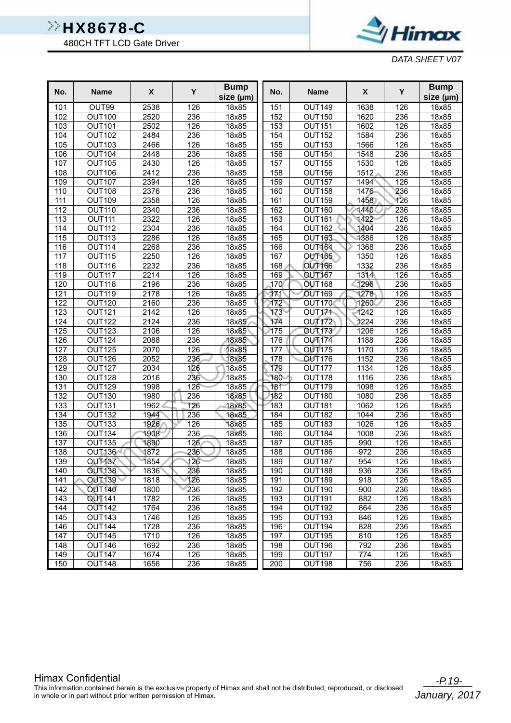480CH TFT LCD Gate Driver



*DATA SHEET V07*

| No.              | <b>Name</b>                    | X                 | Y          | <b>Bump</b><br>size (µm) | No.        | <b>Name</b>                    | X                | Y          | <b>Bump</b><br>size (µm) |
|------------------|--------------------------------|-------------------|------------|--------------------------|------------|--------------------------------|------------------|------------|--------------------------|
| 101              | OUT99                          | 2538              | 126        | 18x85                    | 151        | OUT149                         | 1638             | 126        | 18x85                    |
| 102              | <b>OUT100</b>                  | 2520              | 236        | 18x85                    | 152        | <b>OUT150</b>                  | 1620             | 236        | 18x85                    |
| 103              | <b>OUT101</b>                  | 2502              | 126        | 18x85                    | 153        | <b>OUT151</b>                  | 1602             | 126        | 18x85                    |
| 104              | <b>OUT102</b>                  | 2484              | 236        | 18x85                    | 154        | <b>OUT152</b>                  | 1584             | 236        | 18x85                    |
| 105              | <b>OUT103</b>                  | 2466              | 126        | 18x85                    | 155        | <b>OUT153</b>                  | 1566             | 126        | 18x85                    |
| 106              | <b>OUT104</b>                  | 2448              | 236        | 18x85                    | 156        | <b>OUT154</b>                  | 1548             | 236        | 18x85                    |
| 107              | <b>OUT105</b>                  | 2430              | 126        | 18x85                    | 157        | <b>OUT155</b>                  | 1530             | 126        | 18x85                    |
| 108              | <b>OUT106</b>                  | 2412              | 236        | 18x85                    | 158        | <b>OUT156</b>                  | 1512             | 236        | 18x85                    |
| 109              | <b>OUT107</b>                  | 2394              | 126        | 18x85                    | 159        | OUT157                         | 1494             | 126        | 18x85                    |
| 110              | <b>OUT108</b>                  | 2376              | 236        | 18x85                    | 160        | <b>OUT158</b>                  | 1476             | 236        | 18x85                    |
| 111              | <b>OUT109</b>                  | 2358              | 126        | 18x85                    | 161        | <b>OUT159</b>                  | 1458             | 126        | 18x85                    |
| $\overline{112}$ | <b>OUT110</b>                  | 2340              | 236        | 18x85                    | 162        | <b>OUT160</b>                  | 1440             | 236        | 18x85                    |
| 113              | <b>OUT111</b>                  | 2322              | 126        | 18x85                    | 163        | <b>OUT161</b>                  | 1422             | 126        | 18x85                    |
| 114              | <b>OUT112</b>                  | 2304              | 236        | 18x85                    | 164        | <b>OUT162</b>                  | 1404             | 236        | 18x85                    |
| 115              | <b>OUT113</b>                  | 2286              | 126        | 18x85                    | 165        | <b>OUT163</b>                  | 1386             | 126        | 18x85                    |
| 116              | <b>OUT114</b>                  | 2268              | 236        | 18x85                    | 166        | <b>OUT164</b>                  | 1368             | 236        | 18x85                    |
| 117              | <b>OUT115</b>                  | 2250              | 126        | 18x85                    | 167        | <b>OUT165</b>                  | 1350             | 126        | 18x85                    |
| 118              | OUT116                         | 2232              | 236        | 18x85                    | 168        | <b>OUT166</b>                  | 1332             | 236        | 18x85                    |
| 119              | OUT117                         | $\frac{1}{22}$ 14 | 126        | 18x85                    | 169        | <b>OUT167</b>                  | 1314             | 126        | 18x85                    |
| 120              | OUT118                         | 2196              | 236        | 18x85                    | 170        | <b>OUT168</b>                  | 1296             | 236        | 18x85                    |
| 121              | <b>OUT119</b>                  | 2178              | 126        | 18x85                    | 171        | <b>OUT169</b>                  | 1278             | 126        | 18x85                    |
| 122              | <b>OUT120</b>                  | 2160              | 236        | 18x85                    | 172        | <b>OUT170</b>                  | 1260             | 236        | 18x85                    |
| 123              | <b>OUT121</b>                  | 2142              | 126        | 18x85                    | 173        | OUT171                         | 1242             | 126        | 18x85                    |
| 124              | <b>OUT122</b>                  | 2124              | 236        | 18x85                    | 174        | <b>OUT172</b>                  | 1224             | 236        | 18x85                    |
| 125              | <b>OUT123</b>                  | 2106              | 126        | 18x85                    | 175        | <b>OUT173</b>                  | 1206             | 126        | 18x85                    |
| 126              | <b>OUT124</b>                  | 2088              | 236        | 18x85                    | 176        | <b>OUT174</b>                  | 1188             | 236        | 18x85                    |
| 127              | <b>OUT125</b>                  | 2070              | 126        | 18x85                    | 177        | <b>OUT175</b>                  | 1170             | 126        | 18x85                    |
| 128              | <b>OUT126</b>                  | 2052              | 236        | 18x85                    | 178        | <b>OUT176</b>                  | 1152             | 236        | 18x85                    |
| 129              | <b>OUT127</b>                  | 2034              | 126        | 18x85                    | 179        | <b>OUT177</b>                  | 1134             | 126        | 18x85                    |
| 130              | <b>OUT128</b>                  | 2016              | 236        | 18x85                    | 180        | OUT178                         | 1116             | 236        | 18x85                    |
| 131              | <b>OUT129</b>                  | 1998              | 126        | 18x85                    | 181        | <b>OUT179</b>                  | 1098             | 126        | 18x85                    |
| 132              | OUT130                         | 1980              | 236        | 18x85                    | 182        | <b>OUT180</b>                  | 1080             | 236        | 18x85                    |
| 133              | <b>OUT131</b>                  | 1962              | 126        | 18x85                    | 183        | <b>OUT181</b>                  | 1062             | 126        | 18x85                    |
| 134              | OUT <sub>132</sub>             | 1944              | 236        | 18x85                    | 184        | <b>OUT182</b>                  | 1044             | 236        | 18x85                    |
| 135              | <b>OUT133</b>                  | 1926              | 126        | 18x85                    | 185        | <b>OUT183</b>                  | 1026<br>1008     | 126<br>236 | 18x85                    |
| 136<br>137       | <b>OUT134</b><br><b>OUT135</b> | 1908<br>1890      | 236<br>126 | 18x85<br>18x85           | 186<br>187 | <b>OUT184</b><br><b>OUT185</b> | 990              | 126        | 18x85<br>18x85           |
| 138              | <b>OUT136</b>                  | 1872              | 236        | 18x85                    | 188        | OUT186                         | $\overline{972}$ | 236        | 18x85                    |
| 139              | <b>OUT137</b>                  | 1854              | 126        | 18x85                    | 189        | <b>OUT187</b>                  | 954              | 126        | 18x85                    |
| 140              | <b>OUT138</b>                  | 1836              | 236        | 18x85                    | 190        | OUT188                         | 936              | 236        | 18x85                    |
| 141              | OUT <sub>139</sub>             | 1818              | 126        | 18x85                    | 191        | OUT189                         | 918              | 126        | 18x85                    |
| 142              | <b>OUT140</b>                  | 1800              | 236        | 18x85                    | 192        | <b>OUT190</b>                  | 900              | 236        | 18x85                    |
| 143              | <b>OUT141</b>                  | 1782              | 126        | 18x85                    | 193        | <b>OUT191</b>                  | 882              | 126        | 18x85                    |
| 144              | <b>OUT142</b>                  | 1764              | 236        | 18x85                    | 194        | OUT192                         | 864              | 236        | 18x85                    |
| 145              | <b>OUT143</b>                  | 1746              | 126        | 18x85                    | 195        | OUT193                         | 846              | 126        | 18x85                    |
| 146              | <b>OUT144</b>                  | 1728              | 236        | 18x85                    | 196        | <b>OUT194</b>                  | 828              | 236        | 18x85                    |
| 147              | OUT145                         | 1710              | 126        | 18x85                    | 197        | <b>OUT195</b>                  | 810              | 126        | 18x85                    |
| 148              | OUT146                         | 1692              | 236        | 18x85                    | 198        | OUT196                         | 792              | 236        | 18x85                    |
| 149              | OUT147                         | 1674              | 126        | 18x85                    | 199        | <b>OUT197</b>                  | 774              | 126        | 18x85                    |
| 150              | OUT148                         | 1656              | 236        | 18x85                    | 200        | OUT198                         | 756              | 236        | 18x85                    |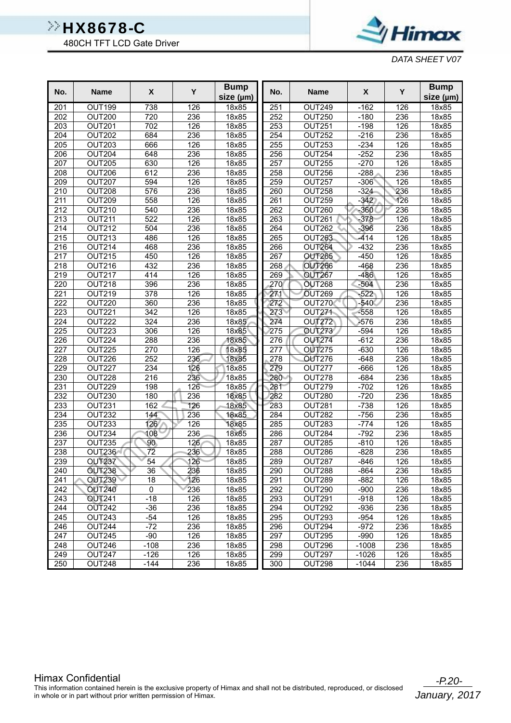480CH TFT LCD Gate Driver



*DATA SHEET V07*

| No.              | <b>Name</b>             | X                | Y                | <b>Bump</b><br>size (µm) | No.        | <b>Name</b>        | X                  | Y          | <b>Bump</b><br>size (µm) |
|------------------|-------------------------|------------------|------------------|--------------------------|------------|--------------------|--------------------|------------|--------------------------|
| 201              | OUT199                  | 738              | 126              | 18x85                    | 251        | OUT249             | $-162$             | 126        | 18x85                    |
| 202              | <b>OUT200</b>           | 720              | 236              | 18x85                    | 252        | <b>OUT250</b>      | $-180$             | 236        | 18x85                    |
| 203              | <b>OUT201</b>           | 702              | 126              | 18x85                    | 253        | OUT251             | $-198$             | 126        | 18x85                    |
| 204              | <b>OUT202</b>           | 684              | 236              | 18x85                    | 254        | <b>OUT252</b>      | $-216$             | 236        | 18x85                    |
| 205              | <b>OUT203</b>           | 666              | 126              | 18x85                    | 255        | OUT253             | $-234$             | 126        | 18x85                    |
| 206              | <b>OUT204</b>           | 648              | 236              | 18x85                    | 256        | OUT254             | $-252$             | 236        | 18x85                    |
| 207              | <b>OUT205</b>           | 630              | 126              | 18x85                    | 257        | <b>OUT255</b>      | $-270$             | 126        | 18x85                    |
| 208              | OUT206                  | 612              | $\overline{236}$ | 18x85                    | 258        | OUT256             | $-288$             | 236        | 18x85                    |
| 209              | <b>OUT207</b>           | 594              | 126              | 18x85                    | 259        | OUT257             | $-306$             | 126        | 18x85                    |
| 210              | <b>OUT208</b>           | 576              | 236              | 18x85                    | 260        | <b>OUT258</b>      | $-324$             | 236        | 18x85                    |
| 211              | <b>OUT209</b>           | 558              | 126              | 18x85                    | 261        | OUT259             | $-342$             | 126        | 18x85                    |
| $\overline{212}$ | <b>OUT210</b>           | 540              | 236              | 18x85                    | 262        | OUT260             | $-360$             | 236        | 18x85                    |
| 213              | <b>OUT211</b>           | 522              | 126              | 18x85                    | 263        | OUT261             | $-378$             | 126        | 18x85                    |
| 214              | <b>OUT212</b>           | 504              | 236              | 18x85                    | 264        | OUT262             | $-396$             | 236        | 18x85                    |
| 215              | <b>OUT213</b>           | 486              | 126              | 18x85                    | 265        | OUT263             | -414               | 126        | 18x85                    |
| 216              | <b>OUT214</b>           | 468              | 236              | 18x85                    | 266        | <b>OUT264</b>      | $-432$             | 236        | 18x85                    |
| 217              | <b>OUT215</b>           | 450              | 126              | 18x85                    | 267        | <b>OUT265</b>      | $-450$             | 126        | 18x85                    |
| 218              | OUT216                  | 432              | 236              | 18x85                    | 268        | <b>OUT266</b>      | $-468$             | 236        | 18x85                    |
| 219              | <b>OUT217</b>           | 414              | 126              | 18x85                    | 269        | <b>OUT267</b>      | $-486$             | 126        | 18x85                    |
| 220              | <b>OUT218</b>           | 396              | 236              | 18x85                    | 270        | <b>OUT268</b>      | $-504$             | 236        | 18x85                    |
| 221              | <b>OUT219</b>           | 378              | 126              | 18x85                    | 271        | OUT269             | $-522$             | 126        | 18x85                    |
| 222              | <b>OUT220</b>           | 360              | 236              | 18x85                    | 272        | <b>OUT270</b>      | $-540<$            | 236        | 18x85                    |
| 223              | OUT221                  | 342              | 126              | 18x85                    | 273        | <b>OUT271</b>      | $-558$             | 126        | 18x85                    |
| 224              | <b>OUT222</b>           | 324              | 236              | 18x85                    | 274        | OUT <sub>272</sub> | $-576$             | 236        | 18x85                    |
| 225              | <b>OUT223</b>           | 306              | 126              | 18x85                    | 275        | <b>OUT273</b>      | $-594$             | 126        | 18x85                    |
| 226              | OUT224                  | 288              | 236              | 18x85                    | 276        | <b>OUT274</b>      | $-612$             | 236        | 18x85                    |
| 227              | <b>OUT225</b>           | 270              | 126              | 18x85                    | 277        | <b>OUT275</b>      | $-630$             | 126        | 18x85                    |
| 228              | OUT226                  | 252              | 236              | 18x85                    | 278        | <b>OUT276</b>      | $-648$             | 236        | 18x85                    |
| 229              | OUT227                  | 234              | 126              | 18x85                    | 279        | OUT277             | $-666$             | 126        | 18x85                    |
| 230              | <b>OUT228</b>           | 216              | 236              | 18x85                    | 280        | OUT278             | $-684$             | 236        | 18x85                    |
| 231              | OUT229                  | 198              | 126              | 18x85                    | 281        | <b>OUT279</b>      | $-702$             | 126        | 18x85                    |
| 232              | <b>OUT230</b>           | 180              | 236              | 18x85                    | 282        | <b>OUT280</b>      | $-720$             | 236        | 18x85                    |
| 233              | OUT231                  | 162              | 126              | 18x85                    | 283        | OUT281             | $-738$             | 126        | 18x85                    |
| 234              | <b>OUT232</b>           | 144              | 236              | 18x85                    | 284        | OUT282             | $-756$             | 236        | 18x85                    |
| 235              | <b>OUT233</b>           | 126              | 126              | 18x85                    | 285        | OUT283             | $-774$             | 126        | 18x85                    |
| 236              | <b>OUT234</b>           | 108              | 236              | 18x85                    | 286        | OUT284             | $-792$             | 236        | 18x85                    |
| 237              | OUT235                  | 90               | 126              | 18x85                    | 287        | OUT285             | $-810$             | 126        | 18x85                    |
| 238              | OUT236                  | $\overline{72}$  | 236              | 18x85                    | 288        | OUT286             | $-828$             | 236        | 18x85                    |
| 239              | <b>OUT237</b>           | $\overline{54}$  | 126              | 18x85                    | 289        | OUT287             | -846               | 126        | 18x85                    |
| 240              | <b>OUT238</b>           | 36               | 236              | 18x85                    | 290        | OUT288             | -864               | 236        | 18x85                    |
| 241              | <b>OUT239</b>           | 18               | 126              | 18x85                    | 291        | OUT289             | $-882$             | 126        | 18x85                    |
| 242              | <b>OUT240</b>           | $\mathbf 0$      | 236              | 18x85                    | 292        | OUT290             | $-900$             | 236        | 18x85                    |
| 243              | <b>OUT241</b>           | $-18$            | 126              | 18x85                    | 293        | OUT291             | $-918$             | 126        | 18x85                    |
| 244              | <b>OUT242</b>           | $-36$            | 236              | 18x85                    | 294        | OUT292             | $-936$             | 236        | 18x85                    |
| 245              | <b>OUT243</b>           | -54              | 126              | 18x85                    | 295        | OUT293             | $-954$             | 126        | 18x85                    |
| 246              | OUT244                  | $-72$            | 236              | 18x85                    | 296        | OUT294             | $-972$             | 236        | 18x85                    |
| 247              | <b>OUT245</b>           | -90              | 126              | 18x85                    | 297        | <b>OUT295</b>      | $-990$             | 126        | 18x85                    |
| 248<br>249       | OUT246<br><b>OUT247</b> | $-108$<br>$-126$ | 236<br>126       | 18x85                    | 298<br>299 | OUT296<br>OUT297   | $-1008$<br>$-1026$ | 236<br>126 | 18x85                    |
| 250              | OUT248                  | $-144$           | 236              | 18x85<br>18x85           | 300        | OUT298             | $-1044$            | 236        | 18x85<br>18x85           |
|                  |                         |                  |                  |                          |            |                    |                    |            |                          |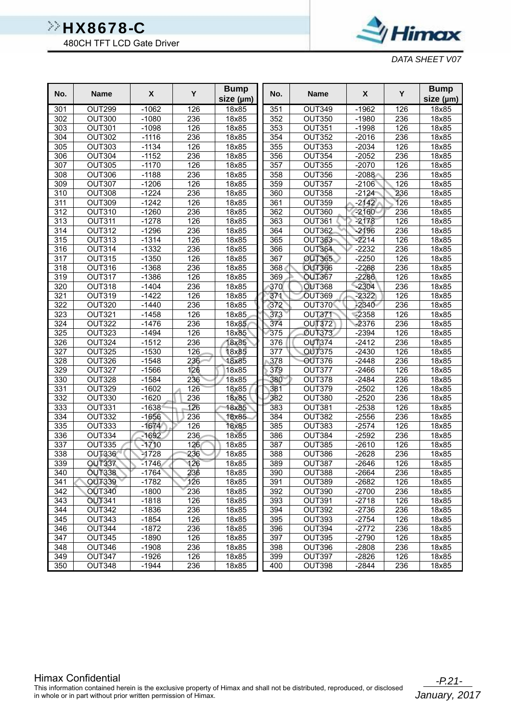480CH TFT LCD Gate Driver



*DATA SHEET V07*

| No.              | <b>Name</b>   | X       | Y   | <b>Bump</b><br>size (µm) | No.              | <b>Name</b>   | $\boldsymbol{\mathsf{X}}$ | Y   | <b>Bump</b><br>size (µm) |
|------------------|---------------|---------|-----|--------------------------|------------------|---------------|---------------------------|-----|--------------------------|
| 301              | OUT299        | $-1062$ | 126 | 18x85                    | 351              | <b>OUT349</b> | $-1962$                   | 126 | 18x85                    |
| 302              | <b>OUT300</b> | $-1080$ | 236 | 18x85                    | 352              | <b>OUT350</b> | $-1980$                   | 236 | 18x85                    |
| 303              | <b>OUT301</b> | $-1098$ | 126 | 18x85                    | 353              | <b>OUT351</b> | $-1998$                   | 126 | 18x85                    |
| 304              | <b>OUT302</b> | $-1116$ | 236 | 18x85                    | 354              | <b>OUT352</b> | $-2016$                   | 236 | 18x85                    |
| 305              | <b>OUT303</b> | $-1134$ | 126 | 18x85                    | 355              | <b>OUT353</b> | $-2034$                   | 126 | 18x85                    |
| 306              | <b>OUT304</b> | $-1152$ | 236 | 18x85                    | 356              | <b>OUT354</b> | $-2052$                   | 236 | 18x85                    |
| 307              | <b>OUT305</b> | $-1170$ | 126 | 18x85                    | 357              | <b>OUT355</b> | $-2070$                   | 126 | 18x85                    |
| 308              | OUT306        | $-1188$ | 236 | 18x85                    | 358              | OUT356        | $-2088$                   | 236 | 18x85                    |
| 309              | <b>OUT307</b> | $-1206$ | 126 | 18x85                    | 359              | OUT357        | $-2106$                   | 126 | 18x85                    |
| 310              | <b>OUT308</b> | $-1224$ | 236 | 18x85                    | 360              | <b>OUT358</b> | $-2124$                   | 236 | 18x85                    |
| 311              | <b>OUT309</b> | $-1242$ | 126 | 18x85                    | 361              | <b>OUT359</b> | $-2142$                   | 126 | 18x85                    |
| $\overline{312}$ | <b>OUT310</b> | $-1260$ | 236 | 18x85                    | 362              | <b>OUT360</b> | $-2160$                   | 236 | 18x85                    |
| 313              | <b>OUT311</b> | $-1278$ | 126 | 18x85                    | 363              | OUT361        | $-2178$                   | 126 | 18x85                    |
| 314              | <b>OUT312</b> | $-1296$ | 236 | 18x85                    | 364              | OUT362        | $-2196$                   | 236 | 18x85                    |
| 315              | <b>OUT313</b> | $-1314$ | 126 | 18x85                    | 365              | OUT363        | $-2214$                   | 126 | 18x85                    |
| 316              | OUT314        | $-1332$ | 236 | 18x85                    | 366              | OUT364        | $-2232$                   | 236 | 18x85                    |
| 317              | <b>OUT315</b> | $-1350$ | 126 | 18x85                    | 367              | <b>OUT365</b> | $-2250$                   | 126 | 18x85                    |
| 318              | OUT316        | $-1368$ | 236 | 18x85                    | 368              | <b>OUT366</b> | $-2268$                   | 236 | 18x85                    |
| 319              | OUT317        | $-1386$ | 126 | 18x85                    | 369              | <b>OUT367</b> | $-2286$                   | 126 | 18x85                    |
| 320              | <b>OUT318</b> | $-1404$ | 236 | 18x85                    | 370              | <b>OUT368</b> | $-2304$                   | 236 | 18x85                    |
| 321              | <b>OUT319</b> | $-1422$ | 126 | 18x85                    | 371              | OUT369        | $-2322$                   | 126 | 18x85                    |
| 322              | <b>OUT320</b> | $-1440$ | 236 | 18x85                    | 372              | OUT370        | $-2340$                   | 236 | 18x85                    |
| 323              | <b>OUT321</b> | $-1458$ | 126 | 18x85                    | 373              | OUT371        | $-2358$                   | 126 | 18x85                    |
| 324              | <b>OUT322</b> | $-1476$ | 236 | 18x85                    | 374              | <b>OUT372</b> | $-2376$                   | 236 | 18x85                    |
| 325              | OUT323        | $-1494$ | 126 | 18x85                    | 375              | <b>OUT373</b> | $-2394$                   | 126 | 18x85                    |
| 326              | <b>OUT324</b> | $-1512$ | 236 | 18x85                    | 376              | <b>OUT374</b> | $-2412$                   | 236 | 18x85                    |
| 327              | <b>OUT325</b> | $-1530$ | 126 | 18x85                    | $\overline{377}$ | <b>OUT375</b> | $-2430$                   | 126 | 18x85                    |
| 328              | OUT326        | $-1548$ | 236 | 18x85                    | 378              | OUT376        | $-2448$                   | 236 | 18x85                    |
| 329              | OUT327        | $-1566$ | 126 | $\overline{18}$ x85      | 379              | OUT377        | $-2466$                   | 126 | 18x85                    |
| 330              | OUT328        | $-1584$ | 236 | 18x85                    | 380              | OUT378        | $-2484$                   | 236 | 18x85                    |
| 331              | <b>OUT329</b> | $-1602$ | 126 | 18x85                    | 381              | OUT379        | $-2502$                   | 126 | 18x85                    |
| 332              | <b>OUT330</b> | $-1620$ | 236 | 18x85                    | 382              | <b>OUT380</b> | $-2520$                   | 236 | 18x85                    |
| 333              | OUT331        | $-1638$ | 126 | 18x85                    | 383              | OUT381        | $-2538$                   | 126 | 18x85                    |
| 334              | OUT332        | $-1656$ | 236 | 18x85                    | 384              | OUT382        | $-2556$                   | 236 | 18x85                    |
| 335              | OUT333        | $-1674$ | 126 | 18x85                    | 385              | <b>OUT383</b> | $-2574$                   | 126 | 18x85                    |
| 336              | OUT334        | $-1692$ | 236 | 18x85                    | 386              | OUT384        | $-2592$                   | 236 | 18x85                    |
| 337              | <b>OUT335</b> | $-1710$ | 126 | 18x85                    | 387              | <b>OUT385</b> | $-2610$                   | 126 | 18x85                    |
| 338              | OUT336        | $-1728$ | 236 | 18x85                    | 388              | OUT386        | $-2628$                   | 236 | 18x85                    |
| 339              | <b>OUT337</b> | $-1746$ | 126 | 18x85                    | 389              | OUT387        | $-2646$                   | 126 | 18x85                    |
| 340              | <b>OUT338</b> | $-1764$ | 236 | 18x85                    | 390              | OUT388        | $-2664$                   | 236 | 18x85                    |
| 341              | <b>OUT339</b> | $-1782$ | 126 | 18x85                    | 391              | OUT389        | $-2682$                   | 126 | 18x85                    |
| 342              | <b>OUT340</b> | $-1800$ | 236 | 18x85                    | 392              | OUT390        | $-2700$                   | 236 | 18x85                    |
| 343              | <b>OUT341</b> | $-1818$ | 126 | 18x85                    | 393              | <b>OUT391</b> | $-2718$                   | 126 | 18x85                    |
| 344              | OUT342        | $-1836$ | 236 | 18x85                    | 394              | OUT392        | $-2736$                   | 236 | 18x85                    |
| 345              | OUT343        | $-1854$ | 126 | 18x85                    | 395              | OUT393        | $-2754$                   | 126 | 18x85                    |
| 346              | OUT344        | $-1872$ | 236 | 18x85                    | 396              | OUT394        | $-2772$                   | 236 | 18x85                    |
| 347              | <b>OUT345</b> | $-1890$ | 126 | 18x85                    | 397              | <b>OUT395</b> | $-2790$                   | 126 | 18x85                    |
| 348              | OUT346        | $-1908$ | 236 | 18x85                    | 398              | OUT396        | $-2808$                   | 236 | 18x85                    |
| 349              | OUT347        | $-1926$ | 126 | 18x85                    | 399              | OUT397        | $-2826$                   | 126 | 18x85                    |
| 350              | OUT348        | $-1944$ | 236 | 18x85                    | 400              | OUT398        | $-2844$                   | 236 | 18x85                    |

Himax Confidential<br>This information contained herein is the exclusive property of Himax and shall not be distributed, reproduced, or disclosed in whole or in part without prior written permission of Himax.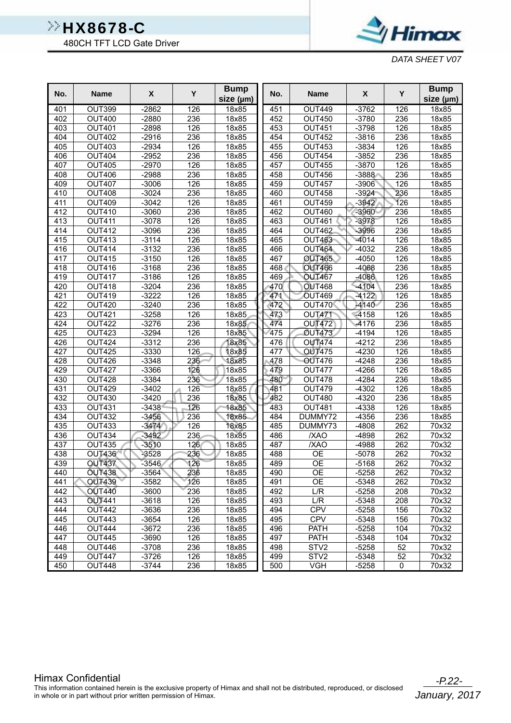480CH TFT LCD Gate Driver



*DATA SHEET V07*

| No.        | <b>Name</b>      | X                  | Y          | <b>Bump</b><br>size (µm) | No. | <b>Name</b>                           | $\pmb{\chi}$ | Y       | <b>Bump</b><br>size (µm) |
|------------|------------------|--------------------|------------|--------------------------|-----|---------------------------------------|--------------|---------|--------------------------|
| 401        | OUT399           | $-2862$            | 126        | 18x85                    | 451 | <b>OUT449</b>                         | $-3762$      | 126     | 18x85                    |
| 402        | <b>OUT400</b>    | $-2880$            | 236        | 18x85                    | 452 | <b>OUT450</b>                         | $-3780$      | 236     | 18x85                    |
| 403        | <b>OUT401</b>    | $-2898$            | 126        | 18x85                    | 453 | <b>OUT451</b>                         | $-3798$      | 126     | 18x85                    |
| 404        | <b>OUT402</b>    | $-2916$            | 236        | 18x85                    | 454 | <b>OUT452</b>                         | $-3816$      | 236     | 18x85                    |
| 405        | <b>OUT403</b>    | $-2934$            | 126        | 18x85                    | 455 | <b>OUT453</b>                         | $-3834$      | 126     | 18x85                    |
| 406        | <b>OUT404</b>    | $-2952$            | 236        | 18x85                    | 456 | <b>OUT454</b>                         | $-3852$      | 236     | 18x85                    |
| 407        | <b>OUT405</b>    | $-2970$            | 126        | 18x85                    | 457 | <b>OUT455</b>                         | $-3870$      | 126     | 18x85                    |
| 408        | <b>OUT406</b>    | $-2988$            | 236        | 18x85                    | 458 | <b>OUT456</b>                         | $-3888$      | 236     | 18x85                    |
| 409        | <b>OUT407</b>    | $-3006$            | 126        | 18x85                    | 459 | <b>OUT457</b>                         | $-3906$      | 126     | 18x85                    |
| 410        | <b>OUT408</b>    | $-3024$            | 236        | 18x85                    | 460 | <b>OUT458</b>                         | $-3924$      | 236     | 18x85                    |
| 411        | <b>OUT409</b>    | $-3042$            | 126        | 18x85                    | 461 | <b>OUT459</b>                         | $-3942$      | 126     | 18x85                    |
| 412        | <b>OUT410</b>    | $-3060$            | 236        | 18x85                    | 462 | <b>OUT460</b>                         | $-3960$      | 236     | 18x85                    |
| 413        | <b>OUT411</b>    | $-3078$            | 126        | 18x85                    | 463 | <b>OUT461</b>                         | $-3978$      | 126     | 18x85                    |
| 414        | <b>OUT412</b>    | $-3096$            | 236        | 18x85                    | 464 | OUT462                                | -3996        | 236     | 18x85                    |
| 415        | <b>OUT413</b>    | $-3114$            | 126        | 18x85                    | 465 | <b>OUT463</b>                         | $-4014$      | 126     | 18x85                    |
| 416        | <b>OUT414</b>    | $-3132$            | 236        | 18x85                    | 466 | <b>OUT464</b>                         | $-4032$      | 236     | 18x85                    |
| 417        | <b>OUT415</b>    | $-3150$            | 126        | 18x85                    | 467 | <b>OUT465</b>                         | $-4050$      | 126     | 18x85                    |
| 418        | <b>OUT416</b>    | $-3168$            | 236        | 18x85                    | 468 | <b>OUT466</b>                         | $-4068$      | 236     | 18x85                    |
| 419        | <b>OUT417</b>    | $-3186$            | 126        | 18x85                    | 469 | <b>OUT467</b>                         | $-4086$      | 126     | 18x85                    |
| 420        | <b>OUT418</b>    | $-3204$            | 236        | 18x85                    | 470 | <b>OUT468</b>                         | $-4104$      | 236     | 18x85                    |
| 421        | <b>OUT419</b>    | $-3222$            | 126        | 18x85                    | 471 | OUT469                                | $-4122$      | 126     | 18x85                    |
| 422        | <b>OUT420</b>    | $-3240$            | 236        | 18x85                    | 472 | OUT470                                | $-4140$      | 236     | 18x85                    |
| 423        | <b>OUT421</b>    | $-3258$            | 126        | 18x85                    | 473 | OUT471                                | $-4158$      | 126     | 18x85                    |
| 424        | <b>OUT422</b>    | $-3276$            | 236        | 18x85                    | 474 | <b>OUT472</b>                         | -4176        | 236     | 18x85                    |
| 425        | <b>OUT423</b>    | $-3294$            | 126        | 18x85                    | 475 | <b>OUT473</b>                         | $-4194$      | 126     | 18x85                    |
| 426        | <b>OUT424</b>    | $-3312$            | 236        | 18x85                    | 476 | <b>OUT474</b>                         | $-4212$      | 236     | 18x85                    |
| 427        | <b>OUT425</b>    | $-3330$            | 126        | 18x85                    | 477 | <b>OUT475</b>                         | $-4230$      | 126     | 18x85                    |
| 428        | OUT426           | $-3348$            | 236        | 18x85                    | 478 | <b>OUT476</b>                         | $-4248$      | 236     | 18x85                    |
| 429        | <b>OUT427</b>    | $-3366$            | 126        | 18x85                    | 479 | OUT477                                | $-4266$      | 126     | 18x85                    |
| 430        | OUT428           | $-3384$            | 236        | 18x85                    | 480 | OUT478                                | $-4284$      | 236     | 18x85                    |
| 431        | <b>OUT429</b>    | $-3402$            | 126        | 18x85                    | 481 | <b>OUT479</b>                         | $-4302$      | 126     | 18x85                    |
| 432        | <b>OUT430</b>    | $-3420$            | 236        | 18x85                    | 482 | <b>OUT480</b>                         | $-4320$      | 236     | 18x85                    |
| 433        | <b>OUT431</b>    | $-3438$            | 126        | 18x85                    | 483 | <b>OUT481</b>                         | $-4338$      | 126     | 18x85                    |
| 434        | <b>OUT432</b>    | $-3456$            | 236        | 18x85                    | 484 | DUMMY72                               | $-4356$      | 236     | 18x85                    |
| 435        | <b>OUT433</b>    | $-3474$            | 126        | 18x85                    | 485 | DUMMY73                               | $-4808$      | 262     | 70x32                    |
| 436        | <b>OUT434</b>    | $-3492$            | 236        | 18x85                    | 486 | /XAO                                  | $-4898$      | 262     | 70x32                    |
| 437        | <b>OUT435</b>    | $-3510$            | 126        | 18x85                    | 487 | /XAO                                  | -4988        | 262     | 70x32                    |
| 438        | <b>OUT436</b>    | $-3528$            | 236        | 18x85                    | 488 | <b>OE</b>                             | $-5078$      | 262     | 70x32                    |
| 439        | <b>OUT437</b>    | $-3546$            | 126        | 18x85                    | 489 | <b>OE</b>                             | $-5168$      | 262     | 70x32                    |
| 440        | <b>OUT438</b>    | $-3564$            | 236        | 18x85                    | 490 | <b>OE</b>                             | $-5258$      | 262     | 70x32                    |
| 441        | <b>OUT439</b>    | $-3582$            | 126        | 18x85                    | 491 | <b>OE</b>                             | -5348        | 262     | 70x32                    |
| 442        | <b>OUT440</b>    | $-3600$            | 236        | 18x85                    | 492 | L/R                                   | $-5258$      | 208     | 70x32                    |
| 443        | <b>OUT441</b>    | $-3618$            | 126        | 18x85                    | 493 | L/R                                   | $-5348$      | 208     | 70x32                    |
| 444        | OUT442           | $-3636$            | 236        | 18x85                    | 494 | <b>CPV</b>                            | $-5258$      | 156     | 70x32                    |
| 445        | <b>OUT443</b>    | $-3654$            | 126        | 18x85                    | 495 | <b>CPV</b>                            | -5348        | 156     | 70x32                    |
| 446        | OUT444           | $-3672$            | 236        | 18x85                    | 496 | <b>PATH</b>                           | $-5258$      | 104     | 70x32                    |
| 447        | <b>OUT445</b>    | $-3690$            | 126        | 18x85                    | 497 | <b>PATH</b>                           | $-5348$      | 104     | 70x32                    |
| 448        | OUT446           | $-3708$<br>$-3726$ | 236        | 18x85                    | 498 | $\overline{\text{ST}}$ V <sub>2</sub> | $-5258$      | 52      | 70x32                    |
| 449<br>450 | OUT447<br>OUT448 | $-3744$            | 126<br>236 | 18x85<br>18x85           | 499 | STV <sub>2</sub><br><b>VGH</b>        | -5348        | 52<br>0 | 70x32                    |
|            |                  |                    |            |                          | 500 |                                       | $-5258$      |         | 70x32                    |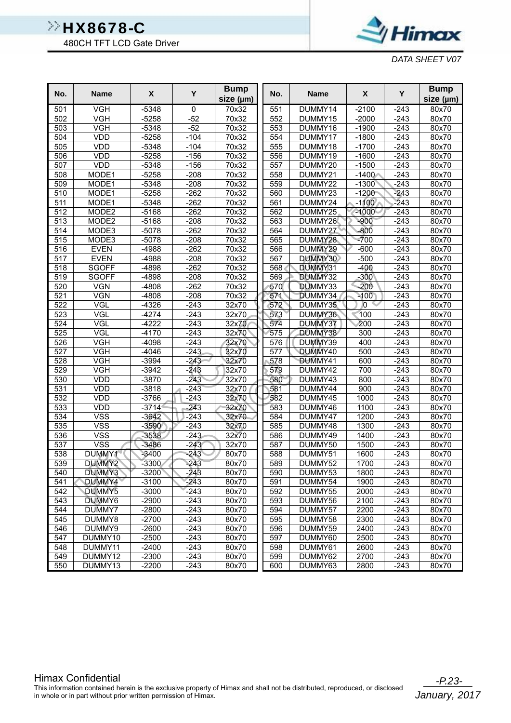480CH TFT LCD Gate Driver



*DATA SHEET V07*

| No. | <b>Name</b>             | $\pmb{\mathsf{X}}$ | Y         | <b>Bump</b><br>size (µm) | No. | <b>Name</b> | $\pmb{\chi}$     | Y      | <b>Bump</b><br>size (µm) |
|-----|-------------------------|--------------------|-----------|--------------------------|-----|-------------|------------------|--------|--------------------------|
| 501 | VGH                     | $-5348$            | $\pmb{0}$ | 70x32                    | 551 | DUMMY14     | $-2100$          | $-243$ | 80x70                    |
| 502 | <b>VGH</b>              | $-5258$            | $-52$     | 70x32                    | 552 | DUMMY15     | $-2000$          | $-243$ | 80x70                    |
| 503 | <b>VGH</b>              | $-5348$            | $-52$     | 70x32                    | 553 | DUMMY16     | $-1900$          | $-243$ | 80x70                    |
| 504 | VDD                     | $-5258$            | $-104$    | 70x32                    | 554 | DUMMY17     | $-1800$          | $-243$ | 80x70                    |
| 505 | VDD                     | $-5348$            | $-104$    | 70x32                    | 555 | DUMMY18     | $-1700$          | $-243$ | 80x70                    |
| 506 | VDD                     | $-5258$            | $-156$    | 70x32                    | 556 | DUMMY19     | $-1600$          | $-243$ | 80x70                    |
| 507 | VDD                     | $-5348$            | $-156$    | 70x32                    | 557 | DUMMY20     | $-1500$          | $-243$ | 80x70                    |
| 508 | MODE1                   | $-5258$            | $-208$    | 70x32                    | 558 | DUMMY21     | $-1400$          | $-243$ | 80x70                    |
| 509 | MODE1                   | $-5348$            | $-208$    | 70x32                    | 559 | DUMMY22     | $-1300$          | $-243$ | 80x70                    |
| 510 | MODE1                   | $-5258$            | $-262$    | 70x32                    | 560 | DUMMY23     | $-1200$          | $-243$ | 80x70                    |
| 511 | MODE1                   | $-5348$            | $-262$    | 70x32                    | 561 | DUMMY24     | $-1100$          | $-243$ | 80x70                    |
| 512 | MODE2                   | $-5168$            | $-262$    | 70x32                    | 562 | DUMMY25     | $-1000$          | $-243$ | 80x70                    |
| 513 | MODE2                   | $-5168$            | $-208$    | 70x32                    | 563 | DUMMY26     | $-900$           | $-243$ | 80x70                    |
| 514 | MODE3                   | $-5078$            | $-262$    | 70x32                    | 564 | DUMMY27     | $-800$           | $-243$ | 80x70                    |
| 515 | MODE3                   | $-5078$            | $-208$    | 70x32                    | 565 | DUMMY28     | $-700$           | $-243$ | 80x70                    |
| 516 | <b>EVEN</b>             | $-4988$            | $-262$    | 70x32                    | 566 | DUMMY29     | $-600$           | $-243$ | 80x70                    |
| 517 | <b>EVEN</b>             | $-4988$            | $-208$    | 70x32                    | 567 | DUMMY30     | $-500$           | $-243$ | 80x70                    |
| 518 | <b>SGOFF</b>            | $-4898$            | $-262$    | 70x32                    | 568 | DUMMY31     | $-400$           | $-243$ | 80x70                    |
| 519 | <b>SGOFF</b>            | $-4898$            | $-208$    | 70x32                    | 569 | DUMMY32     | $-300$           | $-243$ | 80x70                    |
| 520 | <b>VGN</b>              | $-4808$            | $-262$    | 70x32                    | 570 | DUMMY33     | $-200$           | $-243$ | 80x70                    |
| 521 | VGN                     | $-4808$            | $-208$    | 70x32                    | 571 | DUMMY34     | $-100$           | $-243$ | 80x70                    |
| 522 | VGL                     | $-4326$            | $-243$    | 32x70                    | 572 | DUMMY35     | $\overline{0}$   | $-243$ | 80x70                    |
| 523 | VGL                     | $-4274$            | $-243$    | 32x70                    | 573 | DUMMY36     | 100              | $-243$ | 80x70                    |
| 524 | <b>VGL</b>              | $-4222$            | $-243$    | 32x70                    | 574 | DUMMY37     | 200              | $-243$ | 80x70                    |
| 525 | <b>VGL</b>              | $-4170$            | $-243$    | 32x70                    | 575 | DUMMY38     | 300              | $-243$ | 80x70                    |
| 526 | <b>VGH</b>              | $-4098$            | $-243$    | 32x70                    | 576 | DUMMY39     | 400              | $-243$ | 80x70                    |
| 527 | VGH                     | $-4046$            | $-243$    | 32x70                    | 577 | DUMMY40     | 500              | $-243$ | 80x70                    |
| 528 | <b>VGH</b>              | $-3994$            | $-243$    | 32x70                    | 578 | DUMMY41     | 600              | $-243$ | 80x70                    |
| 529 | <b>VGH</b>              | $-3942$            | $-243$    | 32x70                    | 579 | DUMMY42     | 700              | $-243$ | 80x70                    |
| 530 | VDD                     | $-3870$            | $-243$    | 32x70                    | 580 | DUMMY43     | 800              | $-243$ | 80x70                    |
| 531 | VDD                     | $-3818$            | $-243$    | 32x70                    | 581 | DUMMY44     | 900              | $-243$ | 80x70                    |
| 532 | VDD                     | $-3766$            | $-243$    | 32x70                    | 582 | DUMMY45     | 1000             | $-243$ | 80x70                    |
| 533 | VDD                     | $-3714$            | $-243$    | 32x70                    | 583 | DUMMY46     | 1100             | $-243$ | 80x70                    |
| 534 | <b>VSS</b>              | $-3642$            | $-243$    | 32x70                    | 584 | DUMMY47     | $\frac{1}{1200}$ | $-243$ | 80x70                    |
| 535 | <b>VSS</b>              | $-3590$            | $-243$    | 32x70                    | 585 | DUMMY48     | 1300             | $-243$ | 80x70                    |
| 536 | <b>VSS</b>              | $-3538$            | $-243$    | 32x70                    | 586 | DUMMY49     | 1400             | $-243$ | 80x70                    |
| 537 | $\overline{\text{VSS}}$ | $-3486$            | $-243$    | 32x70                    | 587 | DUMMY50     | 1500             | $-243$ | 80x70                    |
| 538 | DUMMY1                  | $-3400$            | $-243$    | 80x70                    | 588 | DUMMY51     | 1600             | $-243$ | 80x70                    |
| 539 | DUMMY2                  | $-3300$            | $-243$    | 80x70                    | 589 | DUMMY52     | 1700             | $-243$ | 80x70                    |
| 540 | DUMMY3                  | $-3200$            | -243      | 80x70                    | 590 | DUMMY53     | 1800             | $-243$ | 80x70                    |
| 541 | DUMMY4                  | $-3100$            | $-243$    | 80x70                    | 591 | DUMMY54     | 1900             | $-243$ | 80x70                    |
| 542 | DUMMY5                  | $-3000$            | $-243$    | 80x70                    | 592 | DUMMY55     | 2000             | $-243$ | 80x70                    |
| 543 | DUMMY6                  | $-2900$            | $-243$    | 80x70                    | 593 | DUMMY56     | 2100             | $-243$ | 80x70                    |
| 544 | DUMMY7                  | $-2800$            | $-243$    | 80x70                    | 594 | DUMMY57     | 2200             | $-243$ | 80x70                    |
| 545 | DUMMY8                  | $-2700$            | $-243$    | 80x70                    | 595 | DUMMY58     | 2300             | $-243$ | 80x70                    |
| 546 | DUMMY9                  | $-2600$            | $-243$    | 80x70                    | 596 | DUMMY59     | 2400             | $-243$ | 80x70                    |
| 547 | DUMMY10                 | $-2500$            | $-243$    | 80x70                    | 597 | DUMMY60     | 2500             | $-243$ | 80x70                    |
| 548 | DUMMY11                 | $-2400$            | $-243$    | 80x70                    | 598 | DUMMY61     | 2600             | $-243$ | 80x70                    |
| 549 | DUMMY12                 | $-2300$            | $-243$    | 80x70                    | 599 | DUMMY62     | 2700             | $-243$ | 80x70                    |
| 550 | DUMMY13                 | $-2200$            | $-243$    | 80x70                    | 600 | DUMMY63     | 2800             | $-243$ | 80x70                    |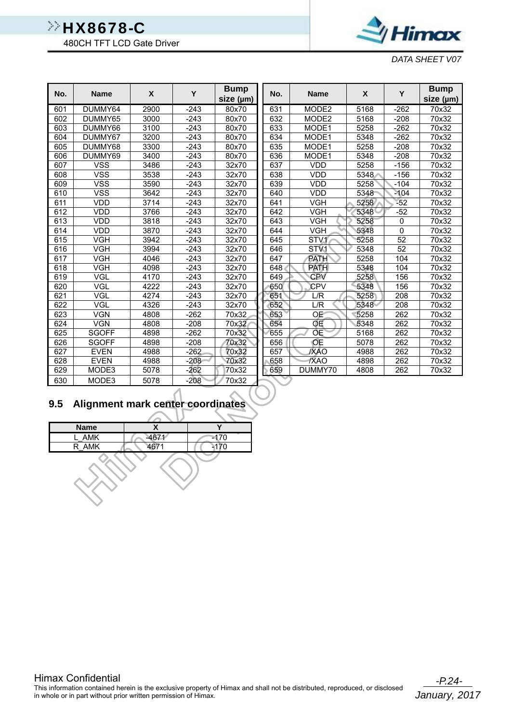480CH TFT LCD Gate Driver



*DATA SHEET V07*

| No. | <b>Name</b>  | X    | Y      | <b>Bump</b><br>size (µm) | No. | <b>Name</b>       | X    | Y              | <b>Bump</b><br>size (µm) |
|-----|--------------|------|--------|--------------------------|-----|-------------------|------|----------------|--------------------------|
| 601 | DUMMY64      | 2900 | $-243$ | 80x70                    | 631 | MODE <sub>2</sub> | 5168 | $-262$         | 70x32                    |
| 602 | DUMMY65      | 3000 | $-243$ | 80x70                    | 632 | MODE <sub>2</sub> | 5168 | $-208$         | 70x32                    |
| 603 | DUMMY66      | 3100 | -243   | 80x70                    | 633 | MODE1             | 5258 | $-262$         | 70x32                    |
| 604 | DUMMY67      | 3200 | $-243$ | 80x70                    | 634 | MODE1             | 5348 | $-262$         | 70x32                    |
| 605 | DUMMY68      | 3300 | $-243$ | 80x70                    | 635 | MODE1             | 5258 | -208           | 70x32                    |
| 606 | DUMMY69      | 3400 | $-243$ | 80x70                    | 636 | MODE1             | 5348 | $-208$         | 70x32                    |
| 607 | <b>VSS</b>   | 3486 | -243   | 32x70                    | 637 | <b>VDD</b>        | 5258 | $-156$         | 70x32                    |
| 608 | <b>VSS</b>   | 3538 | $-243$ | 32x70                    | 638 | <b>VDD</b>        | 5348 | $-156$         | 70x32                    |
| 609 | <b>VSS</b>   | 3590 | $-243$ | 32x70                    | 639 | <b>VDD</b>        | 5258 | $-104$         | 70x32                    |
| 610 | <b>VSS</b>   | 3642 | $-243$ | 32x70                    | 640 | <b>VDD</b>        | 5348 | $-104$         | 70x32                    |
| 611 | <b>VDD</b>   | 3714 | -243   | 32x70                    | 641 | <b>VGH</b>        | 5258 | $-52$          | 70x32                    |
| 612 | <b>VDD</b>   | 3766 | $-243$ | 32x70                    | 642 | <b>VGH</b>        | 5348 | $-52$          | 70x32                    |
| 613 | <b>VDD</b>   | 3818 | $-243$ | 32x70                    | 643 | <b>VGH</b>        | 5258 | $\mathbf 0$    | 70x32                    |
| 614 | <b>VDD</b>   | 3870 | $-243$ | 32x70                    | 644 | <b>VGH</b>        | 5348 | $\overline{0}$ | 70x32                    |
| 615 | <b>VGH</b>   | 3942 | $-243$ | 32x70                    | 645 | STV <sub>1</sub>  | 5258 | 52             | 70x32                    |
| 616 | <b>VGH</b>   | 3994 | $-243$ | 32x70                    | 646 | ST <sub>V1</sub>  | 5348 | 52             | 70x32                    |
| 617 | <b>VGH</b>   | 4046 | $-243$ | 32x70                    | 647 | <b>PATH</b>       | 5258 | 104            | 70x32                    |
| 618 | <b>VGH</b>   | 4098 | $-243$ | 32x70                    | 648 | <b>PATH</b>       | 5348 | 104            | 70x32                    |
| 619 | VGL          | 4170 | $-243$ | 32x70                    | 649 | CPV               | 5258 | 156            | 70x32                    |
| 620 | VGL          | 4222 | $-243$ | 32x70                    | 650 | <b>CPV</b>        | 5348 | 156            | 70x32                    |
| 621 | VGL          | 4274 | $-243$ | 32x70                    | 651 | L/R               | 5258 | 208            | 70x32                    |
| 622 | VGL          | 4326 | $-243$ | 32x70                    | 652 | L/R               | 5348 | 208            | 70x32                    |
| 623 | <b>VGN</b>   | 4808 | -262   | 70x32                    | 653 | OE                | 5258 | 262            | 70x32                    |
| 624 | VGN          | 4808 | $-208$ | 70x32                    | 654 | OΕ                | 5348 | 262            | 70x32                    |
| 625 | <b>SGOFF</b> | 4898 | $-262$ | 70x32                    | 655 | QE                | 5168 | 262            | 70x32                    |
| 626 | <b>SGOFF</b> | 4898 | $-208$ | 70x32                    | 656 | OE                | 5078 | 262            | 70x32                    |
| 627 | <b>EVEN</b>  | 4988 | $-262$ | 70x32                    | 657 | <b>XAO</b>        | 4988 | 262            | 70x32                    |
| 628 | <b>EVEN</b>  | 4988 | $-208$ | 70x32                    | 658 | /XAO              | 4898 | 262            | 70x32                    |
| 629 | MODE3        | 5078 | $-262$ | 70x32                    | 659 | DUMMY70           | 4808 | 262            | 70x32                    |
| 630 | MODE3        | 5078 | $-208$ | 70x32                    |     |                   |      |                |                          |

### **9.5 Alignment mark center coordinates**

| <b>Name</b> |      |        |
|-------------|------|--------|
| <b>AMK</b>  | 4871 | $-170$ |
| R AMK       |      |        |
|             |      |        |

 $\mathsf{S}^{\mathsf{V}}$